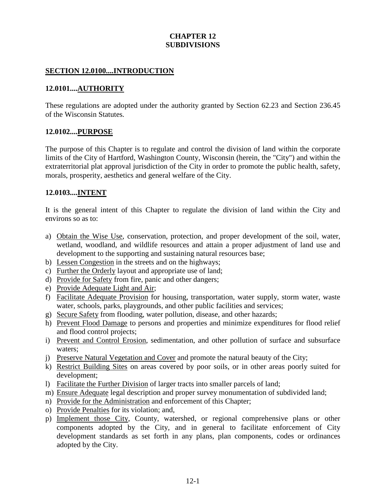# **CHAPTER 12 SUBDIVISIONS**

#### **SECTION 12.0100....INTRODUCTION**

#### **12.0101....AUTHORITY**

These regulations are adopted under the authority granted by Section 62.23 and Section 236.45 of the Wisconsin Statutes.

#### **12.0102....PURPOSE**

The purpose of this Chapter is to regulate and control the division of land within the corporate limits of the City of Hartford, Washington County, Wisconsin (herein, the "City") and within the extraterritorial plat approval jurisdiction of the City in order to promote the public health, safety, morals, prosperity, aesthetics and general welfare of the City.

#### **12.0103....INTENT**

It is the general intent of this Chapter to regulate the division of land within the City and environs so as to:

- a) Obtain the Wise Use, conservation, protection, and proper development of the soil, water, wetland, woodland, and wildlife resources and attain a proper adjustment of land use and development to the supporting and sustaining natural resources base;
- b) Lessen Congestion in the streets and on the highways;
- c) Further the Orderly layout and appropriate use of land;
- d) Provide for Safety from fire, panic and other dangers;
- e) Provide Adequate Light and Air;
- f) Facilitate Adequate Provision for housing, transportation, water supply, storm water, waste water, schools, parks, playgrounds, and other public facilities and services;
- g) Secure Safety from flooding, water pollution, disease, and other hazards;
- h) Prevent Flood Damage to persons and properties and minimize expenditures for flood relief and flood control projects;
- i) Prevent and Control Erosion, sedimentation, and other pollution of surface and subsurface waters;
- j) Preserve Natural Vegetation and Cover and promote the natural beauty of the City;
- k) Restrict Building Sites on areas covered by poor soils, or in other areas poorly suited for development;
- l) Facilitate the Further Division of larger tracts into smaller parcels of land;
- m) Ensure Adequate legal description and proper survey monumentation of subdivided land;
- n) Provide for the Administration and enforcement of this Chapter;
- o) Provide Penalties for its violation; and,
- p) Implement those City, County, watershed, or regional comprehensive plans or other components adopted by the City, and in general to facilitate enforcement of City development standards as set forth in any plans, plan components, codes or ordinances adopted by the City.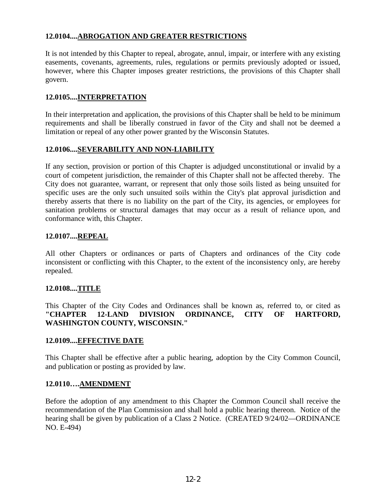# **12.0104....ABROGATION AND GREATER RESTRICTIONS**

It is not intended by this Chapter to repeal, abrogate, annul, impair, or interfere with any existing easements, covenants, agreements, rules, regulations or permits previously adopted or issued, however, where this Chapter imposes greater restrictions, the provisions of this Chapter shall govern.

#### **12.0105....INTERPRETATION**

In their interpretation and application, the provisions of this Chapter shall be held to be minimum requirements and shall be liberally construed in favor of the City and shall not be deemed a limitation or repeal of any other power granted by the Wisconsin Statutes.

#### **12.0106....SEVERABILITY AND NON-LIABILITY**

If any section, provision or portion of this Chapter is adjudged unconstitutional or invalid by a court of competent jurisdiction, the remainder of this Chapter shall not be affected thereby. The City does not guarantee, warrant, or represent that only those soils listed as being unsuited for specific uses are the only such unsuited soils within the City's plat approval jurisdiction and thereby asserts that there is no liability on the part of the City, its agencies, or employees for sanitation problems or structural damages that may occur as a result of reliance upon, and conformance with, this Chapter.

#### **12.0107....REPEAL**

All other Chapters or ordinances or parts of Chapters and ordinances of the City code inconsistent or conflicting with this Chapter, to the extent of the inconsistency only, are hereby repealed.

#### **12.0108....TITLE**

This Chapter of the City Codes and Ordinances shall be known as, referred to, or cited as **"CHAPTER 12-LAND DIVISION ORDINANCE, CITY OF HARTFORD, WASHINGTON COUNTY, WISCONSIN."**

#### **12.0109....EFFECTIVE DATE**

This Chapter shall be effective after a public hearing, adoption by the City Common Council, and publication or posting as provided by law.

#### **12.0110….AMENDMENT**

Before the adoption of any amendment to this Chapter the Common Council shall receive the recommendation of the Plan Commission and shall hold a public hearing thereon. Notice of the hearing shall be given by publication of a Class 2 Notice. (CREATED 9/24/02—ORDINANCE NO. E-494)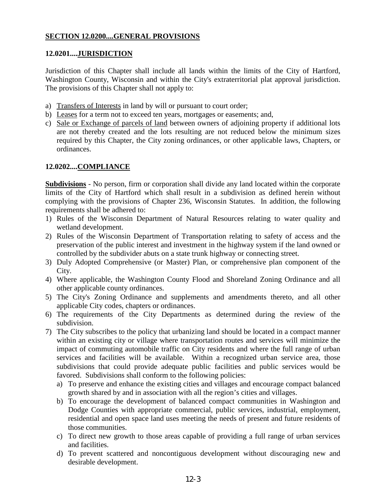# **SECTION 12.0200....GENERAL PROVISIONS**

#### **12.0201....JURISDICTION**

Jurisdiction of this Chapter shall include all lands within the limits of the City of Hartford, Washington County, Wisconsin and within the City's extraterritorial plat approval jurisdiction. The provisions of this Chapter shall not apply to:

- a) Transfers of Interests in land by will or pursuant to court order;
- b) Leases for a term not to exceed ten years, mortgages or easements; and,
- c) Sale or Exchange of parcels of land between owners of adjoining property if additional lots are not thereby created and the lots resulting are not reduced below the minimum sizes required by this Chapter, the City zoning ordinances, or other applicable laws, Chapters, or ordinances.

#### **12.0202....COMPLIANCE**

**Subdivisions** - No person, firm or corporation shall divide any land located within the corporate limits of the City of Hartford which shall result in a subdivision as defined herein without complying with the provisions of Chapter 236, Wisconsin Statutes. In addition, the following requirements shall be adhered to:

- 1) Rules of the Wisconsin Department of Natural Resources relating to water quality and wetland development.
- 2) Rules of the Wisconsin Department of Transportation relating to safety of access and the preservation of the public interest and investment in the highway system if the land owned or controlled by the subdivider abuts on a state trunk highway or connecting street.
- 3) Duly Adopted Comprehensive (or Master) Plan, or comprehensive plan component of the City.
- 4) Where applicable, the Washington County Flood and Shoreland Zoning Ordinance and all other applicable county ordinances.
- 5) The City's Zoning Ordinance and supplements and amendments thereto, and all other applicable City codes, chapters or ordinances.
- 6) The requirements of the City Departments as determined during the review of the subdivision.
- 7) The City subscribes to the policy that urbanizing land should be located in a compact manner within an existing city or village where transportation routes and services will minimize the impact of commuting automobile traffic on City residents and where the full range of urban services and facilities will be available. Within a recognized urban service area, those subdivisions that could provide adequate public facilities and public services would be favored. Subdivisions shall conform to the following policies:
	- a) To preserve and enhance the existing cities and villages and encourage compact balanced growth shared by and in association with all the region's cities and villages.
	- b) To encourage the development of balanced compact communities in Washington and Dodge Counties with appropriate commercial, public services, industrial, employment, residential and open space land uses meeting the needs of present and future residents of those communities.
	- c) To direct new growth to those areas capable of providing a full range of urban services and facilities.
	- d) To prevent scattered and noncontiguous development without discouraging new and desirable development.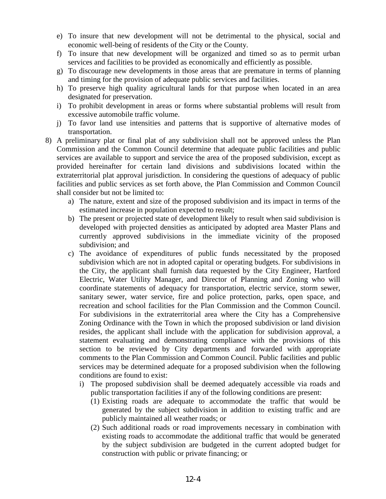- e) To insure that new development will not be detrimental to the physical, social and economic well-being of residents of the City or the County.
- f) To insure that new development will be organized and timed so as to permit urban services and facilities to be provided as economically and efficiently as possible.
- g) To discourage new developments in those areas that are premature in terms of planning and timing for the provision of adequate public services and facilities.
- h) To preserve high quality agricultural lands for that purpose when located in an area designated for preservation.
- i) To prohibit development in areas or forms where substantial problems will result from excessive automobile traffic volume.
- j) To favor land use intensities and patterns that is supportive of alternative modes of transportation.
- 8) A preliminary plat or final plat of any subdivision shall not be approved unless the Plan Commission and the Common Council determine that adequate public facilities and public services are available to support and service the area of the proposed subdivision, except as provided hereinafter for certain land divisions and subdivisions located within the extraterritorial plat approval jurisdiction. In considering the questions of adequacy of public facilities and public services as set forth above, the Plan Commission and Common Council shall consider but not be limited to:
	- a) The nature, extent and size of the proposed subdivision and its impact in terms of the estimated increase in population expected to result;
	- b) The present or projected state of development likely to result when said subdivision is developed with projected densities as anticipated by adopted area Master Plans and currently approved subdivisions in the immediate vicinity of the proposed subdivision; and
	- c) The avoidance of expenditures of public funds necessitated by the proposed subdivision which are not in adopted capital or operating budgets. For subdivisions in the City, the applicant shall furnish data requested by the City Engineer, Hartford Electric, Water Utility Manager, and Director of Planning and Zoning who will coordinate statements of adequacy for transportation, electric service, storm sewer, sanitary sewer, water service, fire and police protection, parks, open space, and recreation and school facilities for the Plan Commission and the Common Council. For subdivisions in the extraterritorial area where the City has a Comprehensive Zoning Ordinance with the Town in which the proposed subdivision or land division resides, the applicant shall include with the application for subdivision approval, a statement evaluating and demonstrating compliance with the provisions of this section to be reviewed by City departments and forwarded with appropriate comments to the Plan Commission and Common Council. Public facilities and public services may be determined adequate for a proposed subdivision when the following conditions are found to exist:
		- i) The proposed subdivision shall be deemed adequately accessible via roads and public transportation facilities if any of the following conditions are present:
			- (1) Existing roads are adequate to accommodate the traffic that would be generated by the subject subdivision in addition to existing traffic and are publicly maintained all weather roads; or
			- (2) Such additional roads or road improvements necessary in combination with existing roads to accommodate the additional traffic that would be generated by the subject subdivision are budgeted in the current adopted budget for construction with public or private financing; or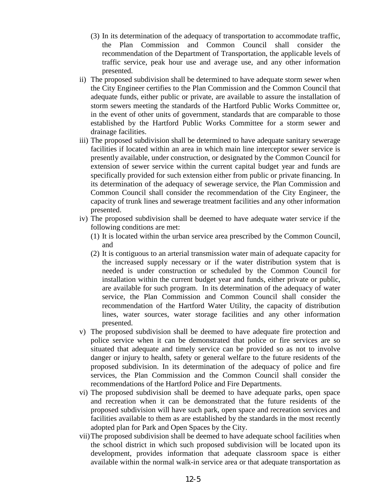- (3) In its determination of the adequacy of transportation to accommodate traffic, the Plan Commission and Common Council shall consider the recommendation of the Department of Transportation, the applicable levels of traffic service, peak hour use and average use, and any other information presented.
- ii) The proposed subdivision shall be determined to have adequate storm sewer when the City Engineer certifies to the Plan Commission and the Common Council that adequate funds, either public or private, are available to assure the installation of storm sewers meeting the standards of the Hartford Public Works Committee or, in the event of other units of government, standards that are comparable to those established by the Hartford Public Works Committee for a storm sewer and drainage facilities.
- iii) The proposed subdivision shall be determined to have adequate sanitary sewerage facilities if located within an area in which main line interceptor sewer service is presently available, under construction, or designated by the Common Council for extension of sewer service within the current capital budget year and funds are specifically provided for such extension either from public or private financing. In its determination of the adequacy of sewerage service, the Plan Commission and Common Council shall consider the recommendation of the City Engineer, the capacity of trunk lines and sewerage treatment facilities and any other information presented.
- iv) The proposed subdivision shall be deemed to have adequate water service if the following conditions are met:
	- (1) It is located within the urban service area prescribed by the Common Council, and
	- (2) It is contiguous to an arterial transmission water main of adequate capacity for the increased supply necessary or if the water distribution system that is needed is under construction or scheduled by the Common Council for installation within the current budget year and funds, either private or public, are available for such program. In its determination of the adequacy of water service, the Plan Commission and Common Council shall consider the recommendation of the Hartford Water Utility, the capacity of distribution lines, water sources, water storage facilities and any other information presented.
- v) The proposed subdivision shall be deemed to have adequate fire protection and police service when it can be demonstrated that police or fire services are so situated that adequate and timely service can be provided so as not to involve danger or injury to health, safety or general welfare to the future residents of the proposed subdivision. In its determination of the adequacy of police and fire services, the Plan Commission and the Common Council shall consider the recommendations of the Hartford Police and Fire Departments.
- vi) The proposed subdivision shall be deemed to have adequate parks, open space and recreation when it can be demonstrated that the future residents of the proposed subdivision will have such park, open space and recreation services and facilities available to them as are established by the standards in the most recently adopted plan for Park and Open Spaces by the City.
- vii)The proposed subdivision shall be deemed to have adequate school facilities when the school district in which such proposed subdivision will be located upon its development, provides information that adequate classroom space is either available within the normal walk-in service area or that adequate transportation as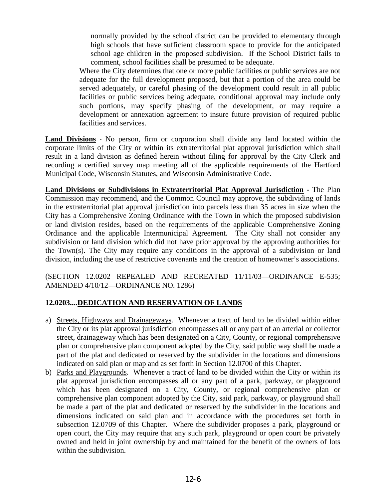normally provided by the school district can be provided to elementary through high schools that have sufficient classroom space to provide for the anticipated school age children in the proposed subdivision. If the School District fails to comment, school facilities shall be presumed to be adequate.

Where the City determines that one or more public facilities or public services are not adequate for the full development proposed, but that a portion of the area could be served adequately, or careful phasing of the development could result in all public facilities or public services being adequate, conditional approval may include only such portions, may specify phasing of the development, or may require a development or annexation agreement to insure future provision of required public facilities and services.

**Land Divisions** - No person, firm or corporation shall divide any land located within the corporate limits of the City or within its extraterritorial plat approval jurisdiction which shall result in a land division as defined herein without filing for approval by the City Clerk and recording a certified survey map meeting all of the applicable requirements of the Hartford Municipal Code, Wisconsin Statutes, and Wisconsin Administrative Code.

**Land Divisions or Subdivisions in Extraterritorial Plat Approval Jurisdiction -** The Plan Commission may recommend, and the Common Council may approve, the subdividing of lands in the extraterritorial plat approval jurisdiction into parcels less than 35 acres in size when the City has a Comprehensive Zoning Ordinance with the Town in which the proposed subdivision or land division resides, based on the requirements of the applicable Comprehensive Zoning Ordinance and the applicable Intermunicipal Agreement. The City shall not consider any subdivision or land division which did not have prior approval by the approving authorities for the Town(s). The City may require any conditions in the approval of a subdivision or land division, including the use of restrictive covenants and the creation of homeowner's associations.

(SECTION 12.0202 REPEALED AND RECREATED 11/11/03—ORDINANCE E-535; AMENDED 4/10/12—ORDINANCE NO. 1286)

# **12.0203....DEDICATION AND RESERVATION OF LANDS**

- a) Streets, Highways and Drainageways. Whenever a tract of land to be divided within either the City or its plat approval jurisdiction encompasses all or any part of an arterial or collector street, drainageway which has been designated on a City, County, or regional comprehensive plan or comprehensive plan component adopted by the City, said public way shall be made a part of the plat and dedicated or reserved by the subdivider in the locations and dimensions indicated on said plan or map and as set forth in Section 12.0700 of this Chapter.
- b) Parks and Playgrounds. Whenever a tract of land to be divided within the City or within its plat approval jurisdiction encompasses all or any part of a park, parkway, or playground which has been designated on a City, County, or regional comprehensive plan or comprehensive plan component adopted by the City, said park, parkway, or playground shall be made a part of the plat and dedicated or reserved by the subdivider in the locations and dimensions indicated on said plan and in accordance with the procedures set forth in subsection 12.0709 of this Chapter. Where the subdivider proposes a park, playground or open court, the City may require that any such park, playground or open court be privately owned and held in joint ownership by and maintained for the benefit of the owners of lots within the subdivision.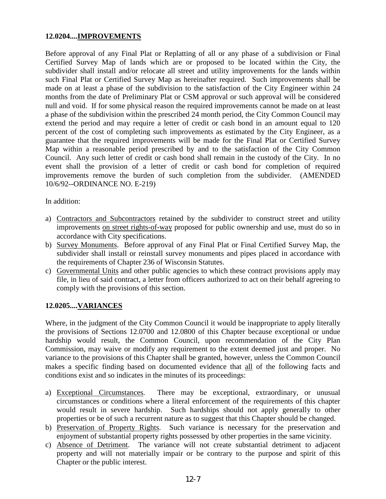# **12.0204....IMPROVEMENTS**

Before approval of any Final Plat or Replatting of all or any phase of a subdivision or Final Certified Survey Map of lands which are or proposed to be located within the City, the subdivider shall install and/or relocate all street and utility improvements for the lands within such Final Plat or Certified Survey Map as hereinafter required. Such improvements shall be made on at least a phase of the subdivision to the satisfaction of the City Engineer within 24 months from the date of Preliminary Plat or CSM approval or such approval will be considered null and void. If for some physical reason the required improvements cannot be made on at least a phase of the subdivision within the prescribed 24 month period, the City Common Council may extend the period and may require a letter of credit or cash bond in an amount equal to 120 percent of the cost of completing such improvements as estimated by the City Engineer, as a guarantee that the required improvements will be made for the Final Plat or Certified Survey Map within a reasonable period prescribed by and to the satisfaction of the City Common Council. Any such letter of credit or cash bond shall remain in the custody of the City. In no event shall the provision of a letter of credit or cash bond for completion of required improvements remove the burden of such completion from the subdivider. (AMENDED 10/6/92--ORDINANCE NO. E-219)

In addition:

- a) Contractors and Subcontractors retained by the subdivider to construct street and utility improvements on street rights-of-way proposed for public ownership and use, must do so in accordance with City specifications.
- b) Survey Monuments. Before approval of any Final Plat or Final Certified Survey Map, the subdivider shall install or reinstall survey monuments and pipes placed in accordance with the requirements of Chapter 236 of Wisconsin Statutes.
- c) Governmental Units and other public agencies to which these contract provisions apply may file, in lieu of said contract, a letter from officers authorized to act on their behalf agreeing to comply with the provisions of this section.

# **12.0205....VARIANCES**

Where, in the judgment of the City Common Council it would be inappropriate to apply literally the provisions of Sections 12.0700 and 12.0800 of this Chapter because exceptional or undue hardship would result, the Common Council, upon recommendation of the City Plan Commission, may waive or modify any requirement to the extent deemed just and proper. No variance to the provisions of this Chapter shall be granted, however, unless the Common Council makes a specific finding based on documented evidence that all of the following facts and conditions exist and so indicates in the minutes of its proceedings:

- a) Exceptional Circumstances. There may be exceptional, extraordinary, or unusual circumstances or conditions where a literal enforcement of the requirements of this chapter would result in severe hardship. Such hardships should not apply generally to other properties or be of such a recurrent nature as to suggest that this Chapter should be changed.
- b) Preservation of Property Rights. Such variance is necessary for the preservation and enjoyment of substantial property rights possessed by other properties in the same vicinity.
- c) Absence of Detriment. The variance will not create substantial detriment to adjacent property and will not materially impair or be contrary to the purpose and spirit of this Chapter or the public interest.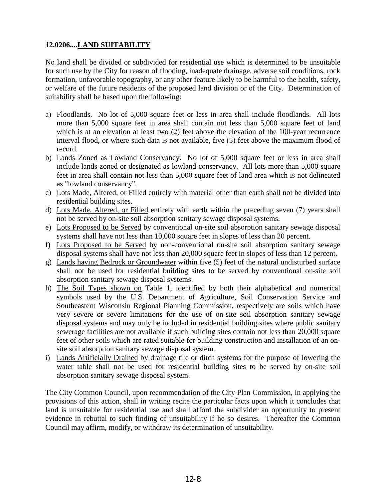# **12.0206....LAND SUITABILITY**

No land shall be divided or subdivided for residential use which is determined to be unsuitable for such use by the City for reason of flooding, inadequate drainage, adverse soil conditions, rock formation, unfavorable topography, or any other feature likely to be harmful to the health, safety, or welfare of the future residents of the proposed land division or of the City. Determination of suitability shall be based upon the following:

- a) Floodlands. No lot of 5,000 square feet or less in area shall include floodlands. All lots more than 5,000 square feet in area shall contain not less than 5,000 square feet of land which is at an elevation at least two (2) feet above the elevation of the 100-year recurrence interval flood, or where such data is not available, five (5) feet above the maximum flood of record.
- b) Lands Zoned as Lowland Conservancy. No lot of 5,000 square feet or less in area shall include lands zoned or designated as lowland conservancy. All lots more than 5,000 square feet in area shall contain not less than 5,000 square feet of land area which is not delineated as "lowland conservancy".
- c) Lots Made, Altered, or Filled entirely with material other than earth shall not be divided into residential building sites.
- d) Lots Made, Altered, or Filled entirely with earth within the preceding seven (7) years shall not be served by on-site soil absorption sanitary sewage disposal systems.
- e) Lots Proposed to be Served by conventional on-site soil absorption sanitary sewage disposal systems shall have not less than 10,000 square feet in slopes of less than 20 percent.
- f) Lots Proposed to be Served by non-conventional on-site soil absorption sanitary sewage disposal systems shall have not less than 20,000 square feet in slopes of less than 12 percent.
- g) Lands having Bedrock or Groundwater within five (5) feet of the natural undisturbed surface shall not be used for residential building sites to be served by conventional on-site soil absorption sanitary sewage disposal systems.
- h) The Soil Types shown on Table 1, identified by both their alphabetical and numerical symbols used by the U.S. Department of Agriculture, Soil Conservation Service and Southeastern Wisconsin Regional Planning Commission, respectively are soils which have very severe or severe limitations for the use of on-site soil absorption sanitary sewage disposal systems and may only be included in residential building sites where public sanitary sewerage facilities are not available if such building sites contain not less than 20,000 square feet of other soils which are rated suitable for building construction and installation of an onsite soil absorption sanitary sewage disposal system.
- i) Lands Artificially Drained by drainage tile or ditch systems for the purpose of lowering the water table shall not be used for residential building sites to be served by on-site soil absorption sanitary sewage disposal system.

The City Common Council, upon recommendation of the City Plan Commission, in applying the provisions of this action, shall in writing recite the particular facts upon which it concludes that land is unsuitable for residential use and shall afford the subdivider an opportunity to present evidence in rebuttal to such finding of unsuitability if he so desires. Thereafter the Common Council may affirm, modify, or withdraw its determination of unsuitability.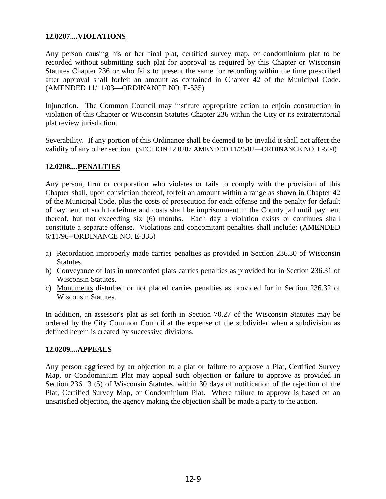# **12.0207....VIOLATIONS**

Any person causing his or her final plat, certified survey map, or condominium plat to be recorded without submitting such plat for approval as required by this Chapter or Wisconsin Statutes Chapter 236 or who fails to present the same for recording within the time prescribed after approval shall forfeit an amount as contained in Chapter 42 of the Municipal Code. (AMENDED 11/11/03—ORDINANCE NO. E-535)

Injunction. The Common Council may institute appropriate action to enjoin construction in violation of this Chapter or Wisconsin Statutes Chapter 236 within the City or its extraterritorial plat review jurisdiction.

Severability. If any portion of this Ordinance shall be deemed to be invalid it shall not affect the validity of any other section. (SECTION 12.0207 AMENDED 11/26/02—ORDINANCE NO. E-504)

#### **12.0208....PENALTIES**

Any person, firm or corporation who violates or fails to comply with the provision of this Chapter shall, upon conviction thereof, forfeit an amount within a range as shown in Chapter 42 of the Municipal Code, plus the costs of prosecution for each offense and the penalty for default of payment of such forfeiture and costs shall be imprisonment in the County jail until payment thereof, but not exceeding six (6) months. Each day a violation exists or continues shall constitute a separate offense. Violations and concomitant penalties shall include: (AMENDED 6/11/96--ORDINANCE NO. E-335)

- a) Recordation improperly made carries penalties as provided in Section 236.30 of Wisconsin Statutes.
- b) Conveyance of lots in unrecorded plats carries penalties as provided for in Section 236.31 of Wisconsin Statutes.
- c) Monuments disturbed or not placed carries penalties as provided for in Section 236.32 of Wisconsin Statutes.

In addition, an assessor's plat as set forth in Section 70.27 of the Wisconsin Statutes may be ordered by the City Common Council at the expense of the subdivider when a subdivision as defined herein is created by successive divisions.

#### **12.0209....APPEALS**

Any person aggrieved by an objection to a plat or failure to approve a Plat, Certified Survey Map, or Condominium Plat may appeal such objection or failure to approve as provided in Section 236.13 (5) of Wisconsin Statutes, within 30 days of notification of the rejection of the Plat, Certified Survey Map, or Condominium Plat. Where failure to approve is based on an unsatisfied objection, the agency making the objection shall be made a party to the action.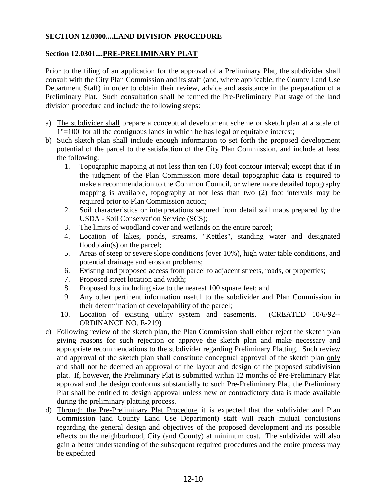# **SECTION 12.0300....LAND DIVISION PROCEDURE**

# **Section 12.0301....PRE-PRELIMINARY PLAT**

Prior to the filing of an application for the approval of a Preliminary Plat, the subdivider shall consult with the City Plan Commission and its staff (and, where applicable, the County Land Use Department Staff) in order to obtain their review, advice and assistance in the preparation of a Preliminary Plat. Such consultation shall be termed the Pre-Preliminary Plat stage of the land division procedure and include the following steps:

- a) The subdivider shall prepare a conceptual development scheme or sketch plan at a scale of 1"=100' for all the contiguous lands in which he has legal or equitable interest;
- b) Such sketch plan shall include enough information to set forth the proposed development potential of the parcel to the satisfaction of the City Plan Commission, and include at least the following:
	- 1. Topographic mapping at not less than ten (10) foot contour interval; except that if in the judgment of the Plan Commission more detail topographic data is required to make a recommendation to the Common Council, or where more detailed topography mapping is available, topography at not less than two (2) foot intervals may be required prior to Plan Commission action;
	- 2. Soil characteristics or interpretations secured from detail soil maps prepared by the USDA - Soil Conservation Service (SCS);
	- 3. The limits of woodland cover and wetlands on the entire parcel;
	- 4. Location of lakes, ponds, streams, "Kettles", standing water and designated floodplain(s) on the parcel;
	- 5. Areas of steep or severe slope conditions (over 10%), high water table conditions, and potential drainage and erosion problems;
	- 6. Existing and proposed access from parcel to adjacent streets, roads, or properties;
	- 7. Proposed street location and width;
	- 8. Proposed lots including size to the nearest 100 square feet; and
	- 9. Any other pertinent information useful to the subdivider and Plan Commission in their determination of developability of the parcel;
	- 10. Location of existing utility system and easements. (CREATED 10/6/92-- ORDINANCE NO. E-219)
- c) Following review of the sketch plan, the Plan Commission shall either reject the sketch plan giving reasons for such rejection or approve the sketch plan and make necessary and appropriate recommendations to the subdivider regarding Preliminary Platting. Such review and approval of the sketch plan shall constitute conceptual approval of the sketch plan only and shall not be deemed an approval of the layout and design of the proposed subdivision plat. If, however, the Preliminary Plat is submitted within 12 months of Pre-Preliminary Plat approval and the design conforms substantially to such Pre-Preliminary Plat, the Preliminary Plat shall be entitled to design approval unless new or contradictory data is made available during the preliminary platting process.
- d) Through the Pre-Preliminary Plat Procedure it is expected that the subdivider and Plan Commission (and County Land Use Department) staff will reach mutual conclusions regarding the general design and objectives of the proposed development and its possible effects on the neighborhood, City (and County) at minimum cost. The subdivider will also gain a better understanding of the subsequent required procedures and the entire process may be expedited.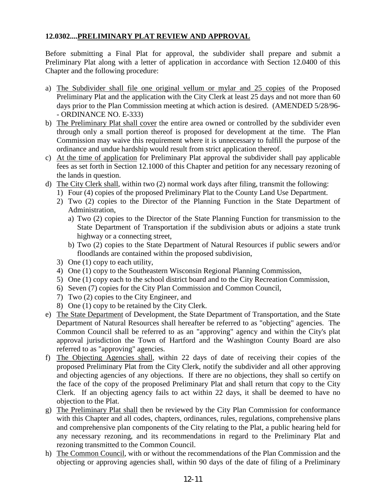# **12.0302....PRELIMINARY PLAT REVIEW AND APPROVAL**

Before submitting a Final Plat for approval, the subdivider shall prepare and submit a Preliminary Plat along with a letter of application in accordance with Section 12.0400 of this Chapter and the following procedure:

- a) The Subdivider shall file one original vellum or mylar and 25 copies of the Proposed Preliminary Plat and the application with the City Clerk at least 25 days and not more than 60 days prior to the Plan Commission meeting at which action is desired. (AMENDED 5/28/96- - ORDINANCE NO. E-333)
- b) The Preliminary Plat shall cover the entire area owned or controlled by the subdivider even through only a small portion thereof is proposed for development at the time. The Plan Commission may waive this requirement where it is unnecessary to fulfill the purpose of the ordinance and undue hardship would result from strict application thereof.
- c) At the time of application for Preliminary Plat approval the subdivider shall pay applicable fees as set forth in Section 12.1000 of this Chapter and petition for any necessary rezoning of the lands in question.
- d) The City Clerk shall, within two (2) normal work days after filing, transmit the following:
	- 1) Four (4) copies of the proposed Preliminary Plat to the County Land Use Department.
	- 2) Two (2) copies to the Director of the Planning Function in the State Department of Administration,
		- a) Two (2) copies to the Director of the State Planning Function for transmission to the State Department of Transportation if the subdivision abuts or adjoins a state trunk highway or a connecting street,
		- b) Two (2) copies to the State Department of Natural Resources if public sewers and/or floodlands are contained within the proposed subdivision,
	- 3) One (1) copy to each utility,
	- 4) One (1) copy to the Southeastern Wisconsin Regional Planning Commission,
	- 5) One (1) copy each to the school district board and to the City Recreation Commission,
	- 6) Seven (7) copies for the City Plan Commission and Common Council,
	- 7) Two (2) copies to the City Engineer, and
	- 8) One (1) copy to be retained by the City Clerk.
- e) The State Department of Development, the State Department of Transportation, and the State Department of Natural Resources shall hereafter be referred to as "objecting" agencies. The Common Council shall be referred to as an "approving" agency and within the City's plat approval jurisdiction the Town of Hartford and the Washington County Board are also referred to as "approving" agencies.
- f) The Objecting Agencies shall, within 22 days of date of receiving their copies of the proposed Preliminary Plat from the City Clerk, notify the subdivider and all other approving and objecting agencies of any objections. If there are no objections, they shall so certify on the face of the copy of the proposed Preliminary Plat and shall return that copy to the City Clerk. If an objecting agency fails to act within 22 days, it shall be deemed to have no objection to the Plat.
- g) The Preliminary Plat shall then be reviewed by the City Plan Commission for conformance with this Chapter and all codes, chapters, ordinances, rules, regulations, comprehensive plans and comprehensive plan components of the City relating to the Plat, a public hearing held for any necessary rezoning, and its recommendations in regard to the Preliminary Plat and rezoning transmitted to the Common Council.
- h) The Common Council, with or without the recommendations of the Plan Commission and the objecting or approving agencies shall, within 90 days of the date of filing of a Preliminary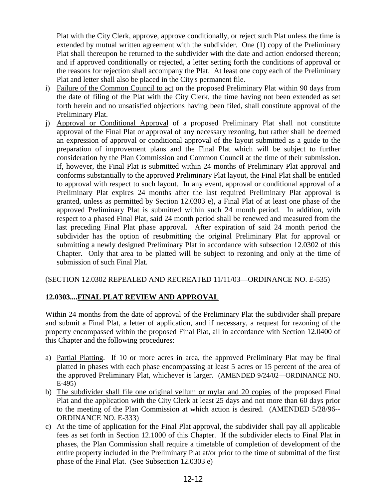Plat with the City Clerk, approve, approve conditionally, or reject such Plat unless the time is extended by mutual written agreement with the subdivider. One (1) copy of the Preliminary Plat shall thereupon be returned to the subdivider with the date and action endorsed thereon; and if approved conditionally or rejected, a letter setting forth the conditions of approval or the reasons for rejection shall accompany the Plat. At least one copy each of the Preliminary Plat and letter shall also be placed in the City's permanent file.

- i) Failure of the Common Council to act on the proposed Preliminary Plat within 90 days from the date of filing of the Plat with the City Clerk, the time having not been extended as set forth herein and no unsatisfied objections having been filed, shall constitute approval of the Preliminary Plat.
- j) Approval or Conditional Approval of a proposed Preliminary Plat shall not constitute approval of the Final Plat or approval of any necessary rezoning, but rather shall be deemed an expression of approval or conditional approval of the layout submitted as a guide to the preparation of improvement plans and the Final Plat which will be subject to further consideration by the Plan Commission and Common Council at the time of their submission. If, however, the Final Plat is submitted within 24 months of Preliminary Plat approval and conforms substantially to the approved Preliminary Plat layout, the Final Plat shall be entitled to approval with respect to such layout. In any event, approval or conditional approval of a Preliminary Plat expires 24 months after the last required Preliminary Plat approval is granted, unless as permitted by Section 12.0303 e), a Final Plat of at least one phase of the approved Preliminary Plat is submitted within such 24 month period. In addition, with respect to a phased Final Plat, said 24 month period shall be renewed and measured from the last preceding Final Plat phase approval. After expiration of said 24 month period the subdivider has the option of resubmitting the original Preliminary Plat for approval or submitting a newly designed Preliminary Plat in accordance with subsection 12.0302 of this Chapter. Only that area to be platted will be subject to rezoning and only at the time of submission of such Final Plat.

(SECTION 12.0302 REPEALED AND RECREATED 11/11/03—ORDINANCE NO. E-535)

# **12.0303....FINAL PLAT REVIEW AND APPROVAL**

Within 24 months from the date of approval of the Preliminary Plat the subdivider shall prepare and submit a Final Plat, a letter of application, and if necessary, a request for rezoning of the property encompassed within the proposed Final Plat, all in accordance with Section 12.0400 of this Chapter and the following procedures:

- a) Partial Platting. If 10 or more acres in area, the approved Preliminary Plat may be final platted in phases with each phase encompassing at least 5 acres or 15 percent of the area of the approved Preliminary Plat, whichever is larger. (AMENDED 9/24/02—ORDINANCE NO. E-495)
- b) The subdivider shall file one original vellum or mylar and 20 copies of the proposed Final Plat and the application with the City Clerk at least 25 days and not more than 60 days prior to the meeting of the Plan Commission at which action is desired. (AMENDED 5/28/96-- ORDINANCE NO. E-333)
- c) At the time of application for the Final Plat approval, the subdivider shall pay all applicable fees as set forth in Section 12.1000 of this Chapter. If the subdivider elects to Final Plat in phases, the Plan Commission shall require a timetable of completion of development of the entire property included in the Preliminary Plat at/or prior to the time of submittal of the first phase of the Final Plat. (See Subsection 12.0303 e)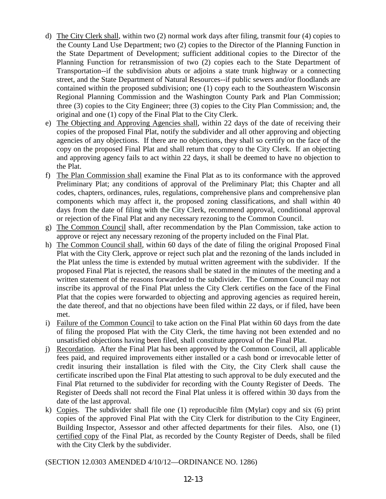- d) The City Clerk shall, within two (2) normal work days after filing, transmit four (4) copies to the County Land Use Department; two (2) copies to the Director of the Planning Function in the State Department of Development; sufficient additional copies to the Director of the Planning Function for retransmission of two (2) copies each to the State Department of Transportation--if the subdivision abuts or adjoins a state trunk highway or a connecting street, and the State Department of Natural Resources--if public sewers and/or floodlands are contained within the proposed subdivision; one (1) copy each to the Southeastern Wisconsin Regional Planning Commission and the Washington County Park and Plan Commission; three (3) copies to the City Engineer; three (3) copies to the City Plan Commission; and, the original and one (1) copy of the Final Plat to the City Clerk.
- e) The Objecting and Approving Agencies shall, within 22 days of the date of receiving their copies of the proposed Final Plat, notify the subdivider and all other approving and objecting agencies of any objections. If there are no objections, they shall so certify on the face of the copy on the proposed Final Plat and shall return that copy to the City Clerk. If an objecting and approving agency fails to act within 22 days, it shall be deemed to have no objection to the Plat.
- f) The Plan Commission shall examine the Final Plat as to its conformance with the approved Preliminary Plat; any conditions of approval of the Preliminary Plat; this Chapter and all codes, chapters, ordinances, rules, regulations, comprehensive plans and comprehensive plan components which may affect it, the proposed zoning classifications, and shall within 40 days from the date of filing with the City Clerk, recommend approval, conditional approval or rejection of the Final Plat and any necessary rezoning to the Common Council.
- g) The Common Council shall, after recommendation by the Plan Commission, take action to approve or reject any necessary rezoning of the property included on the Final Plat.
- h) The Common Council shall, within 60 days of the date of filing the original Proposed Final Plat with the City Clerk, approve or reject such plat and the rezoning of the lands included in the Plat unless the time is extended by mutual written agreement with the subdivider. If the proposed Final Plat is rejected, the reasons shall be stated in the minutes of the meeting and a written statement of the reasons forwarded to the subdivider. The Common Council may not inscribe its approval of the Final Plat unless the City Clerk certifies on the face of the Final Plat that the copies were forwarded to objecting and approving agencies as required herein, the date thereof, and that no objections have been filed within 22 days, or if filed, have been met.
- i) Failure of the Common Council to take action on the Final Plat within 60 days from the date of filing the proposed Plat with the City Clerk, the time having not been extended and no unsatisfied objections having been filed, shall constitute approval of the Final Plat.
- j) Recordation. After the Final Plat has been approved by the Common Council, all applicable fees paid, and required improvements either installed or a cash bond or irrevocable letter of credit insuring their installation is filed with the City, the City Clerk shall cause the certificate inscribed upon the Final Plat attesting to such approval to be duly executed and the Final Plat returned to the subdivider for recording with the County Register of Deeds. The Register of Deeds shall not record the Final Plat unless it is offered within 30 days from the date of the last approval.
- k) Copies. The subdivider shall file one (1) reproducible film (Mylar) copy and six (6) print copies of the approved Final Plat with the City Clerk for distribution to the City Engineer, Building Inspector, Assessor and other affected departments for their files. Also, one (1) certified copy of the Final Plat, as recorded by the County Register of Deeds, shall be filed with the City Clerk by the subdivider.

(SECTION 12.0303 AMENDED 4/10/12—ORDINANCE NO. 1286)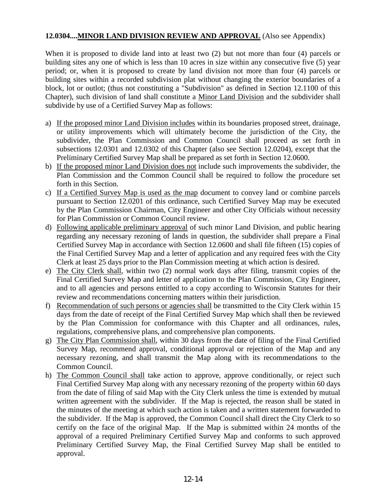# **12.0304....MINOR LAND DIVISION REVIEW AND APPROVAL** (Also see Appendix)

When it is proposed to divide land into at least two (2) but not more than four (4) parcels or building sites any one of which is less than 10 acres in size within any consecutive five (5) year period; or, when it is proposed to create by land division not more than four (4) parcels or building sites within a recorded subdivision plat without changing the exterior boundaries of a block, lot or outlot; (thus not constituting a "Subdivision" as defined in Section 12.1100 of this Chapter), such division of land shall constitute a Minor Land Division and the subdivider shall subdivide by use of a Certified Survey Map as follows:

- a) If the proposed minor Land Division includes within its boundaries proposed street, drainage, or utility improvements which will ultimately become the jurisdiction of the City, the subdivider, the Plan Commission and Common Council shall proceed as set forth in subsections 12.0301 and 12.0302 of this Chapter (also see Section 12.0204), except that the Preliminary Certified Survey Map shall be prepared as set forth in Section 12.0600.
- b) If the proposed minor Land Division does not include such improvements the subdivider, the Plan Commission and the Common Council shall be required to follow the procedure set forth in this Section.
- c) If a Certified Survey Map is used as the map document to convey land or combine parcels pursuant to Section 12.0201 of this ordinance, such Certified Survey Map may be executed by the Plan Commission Chairman, City Engineer and other City Officials without necessity for Plan Commission or Common Council review.
- d) Following applicable preliminary approval of such minor Land Division, and public hearing regarding any necessary rezoning of lands in question, the subdivider shall prepare a Final Certified Survey Map in accordance with Section 12.0600 and shall file fifteen (15) copies of the Final Certified Survey Map and a letter of application and any required fees with the City Clerk at least 25 days prior to the Plan Commission meeting at which action is desired.
- e) The City Clerk shall, within two (2) normal work days after filing, transmit copies of the Final Certified Survey Map and letter of application to the Plan Commission, City Engineer, and to all agencies and persons entitled to a copy according to Wisconsin Statutes for their review and recommendations concerning matters within their jurisdiction.
- f) Recommendation of such persons or agencies shall be transmitted to the City Clerk within 15 days from the date of receipt of the Final Certified Survey Map which shall then be reviewed by the Plan Commission for conformance with this Chapter and all ordinances, rules, regulations, comprehensive plans, and comprehensive plan components.
- g) The City Plan Commission shall, within 30 days from the date of filing of the Final Certified Survey Map, recommend approval, conditional approval or rejection of the Map and any necessary rezoning, and shall transmit the Map along with its recommendations to the Common Council.
- h) The Common Council shall take action to approve, approve conditionally, or reject such Final Certified Survey Map along with any necessary rezoning of the property within 60 days from the date of filing of said Map with the City Clerk unless the time is extended by mutual written agreement with the subdivider. If the Map is rejected, the reason shall be stated in the minutes of the meeting at which such action is taken and a written statement forwarded to the subdivider. If the Map is approved, the Common Council shall direct the City Clerk to so certify on the face of the original Map. If the Map is submitted within 24 months of the approval of a required Preliminary Certified Survey Map and conforms to such approved Preliminary Certified Survey Map, the Final Certified Survey Map shall be entitled to approval.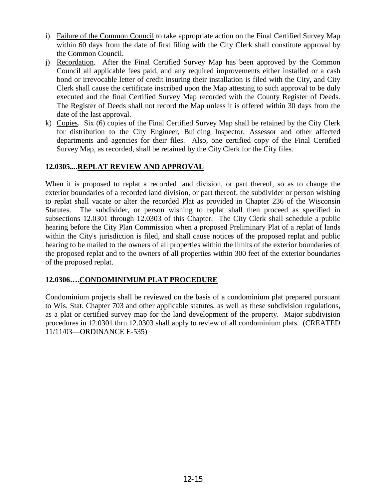- i) Failure of the Common Council to take appropriate action on the Final Certified Survey Map within 60 days from the date of first filing with the City Clerk shall constitute approval by the Common Council.
- j) Recordation. After the Final Certified Survey Map has been approved by the Common Council all applicable fees paid, and any required improvements either installed or a cash bond or irrevocable letter of credit insuring their installation is filed with the City, and City Clerk shall cause the certificate inscribed upon the Map attesting to such approval to be duly executed and the final Certified Survey Map recorded with the County Register of Deeds. The Register of Deeds shall not record the Map unless it is offered within 30 days from the date of the last approval.
- k) Copies. Six (6) copies of the Final Certified Survey Map shall be retained by the City Clerk for distribution to the City Engineer, Building Inspector, Assessor and other affected departments and agencies for their files. Also, one certified copy of the Final Certified Survey Map, as recorded, shall be retained by the City Clerk for the City files.

# **12.0305....REPLAT REVIEW AND APPROVAL**

When it is proposed to replat a recorded land division, or part thereof, so as to change the exterior boundaries of a recorded land division, or part thereof, the subdivider or person wishing to replat shall vacate or alter the recorded Plat as provided in Chapter 236 of the Wisconsin Statutes. The subdivider, or person wishing to replat shall then proceed as specified in subsections 12.0301 through 12.0303 of this Chapter. The City Clerk shall schedule a public hearing before the City Plan Commission when a proposed Preliminary Plat of a replat of lands within the City's jurisdiction is filed, and shall cause notices of the proposed replat and public hearing to be mailed to the owners of all properties within the limits of the exterior boundaries of the proposed replat and to the owners of all properties within 300 feet of the exterior boundaries of the proposed replat.

# **12.0306….CONDOMINIMUM PLAT PROCEDURE**

Condominium projects shall be reviewed on the basis of a condominium plat prepared pursuant to Wis. Stat. Chapter 703 and other applicable statutes, as well as these subdivision regulations, as a plat or certified survey map for the land development of the property. Major subdivision procedures in 12.0301 thru 12.0303 shall apply to review of all condominium plats. (CREATED 11/11/03—ORDINANCE E-535)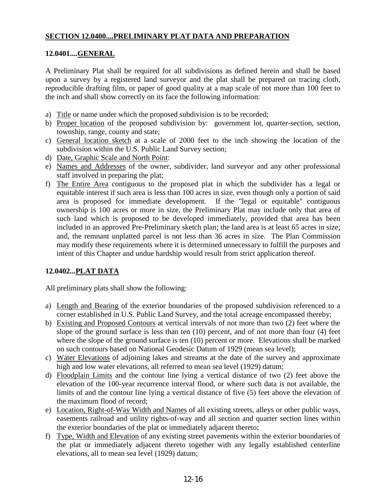# **SECTION 12.0400....PRELIMINARY PLAT DATA AND PREPARATION**

# **12.0401....GENERAL**

A Preliminary Plat shall be required for all subdivisions as defined herein and shall be based upon a survey by a registered land surveyor and the plat shall be prepared on tracing cloth, reproducible drafting film, or paper of good quality at a map scale of not more than 100 feet to the inch and shall show correctly on its face the following information:

- a) Title or name under which the proposed subdivision is to be recorded;
- b) Proper location of the proposed subdivision by: government lot, quarter-section, section, township, range, county and state;
- c) General location sketch at a scale of 2000 feet to the inch showing the location of the subdivision within the U.S. Public Land Survey section;
- d) Date, Graphic Scale and North Point:
- e) Names and Addresses of the owner, subdivider, land surveyor and any other professional staff involved in preparing the plat;
- f) The Entire Area contiguous to the proposed plat in which the subdivider has a legal or equitable interest if such area is less than 100 acres in size, even though only a portion of said area is proposed for immediate development. If the "legal or equitable" contiguous ownership is 100 acres or more in size, the Preliminary Plat may include only that area of such land which is proposed to be developed immediately, provided that area has been included in an approved Pre-Preliminary sketch plan; the land area is at least 65 acres in size; and, the remnant unplatted parcel is not less than 36 acres in size. The Plan Commission may modify these requirements where it is determined unnecessary to fulfill the purposes and intent of this Chapter and undue hardship would result from strict application thereof.

# **12.0402...PLAT DATA**

All preliminary plats shall show the following:

- a) Length and Bearing of the exterior boundaries of the proposed subdivision referenced to a corner established in U.S. Public Land Survey, and the total acreage encompassed thereby;
- b) Existing and Proposed Contours at vertical intervals of not more than two (2) feet where the slope of the ground surface is less than ten (10) percent, and of not more than four (4) feet where the slope of the ground surface is ten (10) percent or more. Elevations shall be marked on such contours based on National Geodesic Datum of 1929 (mean sea level);
- c) Water Elevations of adjoining lakes and streams at the date of the survey and approximate high and low water elevations, all referred to mean sea level (1929) datum;
- d) Floodplain Limits and the contour line lying a vertical distance of two (2) feet above the elevation of the 100-year recurrence interval flood, or where such data is not available, the limits of and the contour line lying a vertical distance of five (5) feet above the elevation of the maximum flood of record;
- e) Location, Right-of-Way Width and Names of all existing streets, alleys or other public ways, easements railroad and utility rights-of-way and all section and quarter section lines within the exterior boundaries of the plat or immediately adjacent thereto;
- f) Type, Width and Elevation of any existing street pavements within the exterior boundaries of the plat or immediately adjacent thereto together with any legally established centerline elevations, all to mean sea level (1929) datum;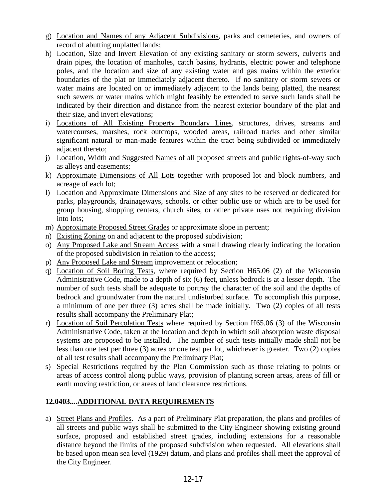- g) Location and Names of any Adjacent Subdivisions, parks and cemeteries, and owners of record of abutting unplatted lands;
- h) Location, Size and Invert Elevation of any existing sanitary or storm sewers, culverts and drain pipes, the location of manholes, catch basins, hydrants, electric power and telephone poles, and the location and size of any existing water and gas mains within the exterior boundaries of the plat or immediately adjacent thereto. If no sanitary or storm sewers or water mains are located on or immediately adjacent to the lands being platted, the nearest such sewers or water mains which might feasibly be extended to serve such lands shall be indicated by their direction and distance from the nearest exterior boundary of the plat and their size, and invert elevations;
- i) Locations of All Existing Property Boundary Lines, structures, drives, streams and watercourses, marshes, rock outcrops, wooded areas, railroad tracks and other similar significant natural or man-made features within the tract being subdivided or immediately adjacent thereto;
- j) Location, Width and Suggested Names of all proposed streets and public rights-of-way such as alleys and easements;
- k) Approximate Dimensions of All Lots together with proposed lot and block numbers, and acreage of each lot;
- l) Location and Approximate Dimensions and Size of any sites to be reserved or dedicated for parks, playgrounds, drainageways, schools, or other public use or which are to be used for group housing, shopping centers, church sites, or other private uses not requiring division into lots;
- m) Approximate Proposed Street Grades or approximate slope in percent;
- n) Existing Zoning on and adjacent to the proposed subdivision;
- o) Any Proposed Lake and Stream Access with a small drawing clearly indicating the location of the proposed subdivision in relation to the access;
- p) Any Proposed Lake and Stream improvement or relocation;
- q) Location of Soil Boring Tests, where required by Section H65.06 (2) of the Wisconsin Administrative Code, made to a depth of six (6) feet, unless bedrock is at a lesser depth. The number of such tests shall be adequate to portray the character of the soil and the depths of bedrock and groundwater from the natural undisturbed surface. To accomplish this purpose, a minimum of one per three (3) acres shall be made initially. Two (2) copies of all tests results shall accompany the Preliminary Plat;
- r) Location of Soil Percolation Tests where required by Section H65.06 (3) of the Wisconsin Administrative Code, taken at the location and depth in which soil absorption waste disposal systems are proposed to be installed. The number of such tests initially made shall not be less than one test per three (3) acres or one test per lot, whichever is greater. Two (2) copies of all test results shall accompany the Preliminary Plat;
- s) Special Restrictions required by the Plan Commission such as those relating to points or areas of access control along public ways, provision of planting screen areas, areas of fill or earth moving restriction, or areas of land clearance restrictions.

# **12.0403....ADDITIONAL DATA REQUIREMENTS**

a) Street Plans and Profiles. As a part of Preliminary Plat preparation, the plans and profiles of all streets and public ways shall be submitted to the City Engineer showing existing ground surface, proposed and established street grades, including extensions for a reasonable distance beyond the limits of the proposed subdivision when requested. All elevations shall be based upon mean sea level (1929) datum, and plans and profiles shall meet the approval of the City Engineer.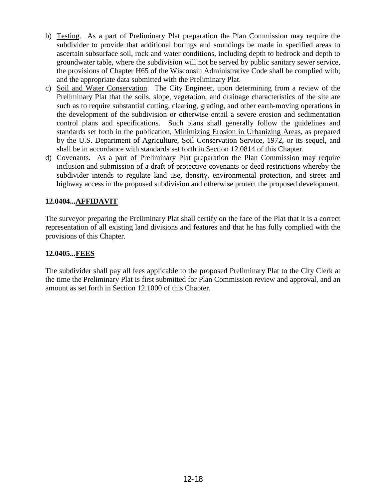- b) Testing. As a part of Preliminary Plat preparation the Plan Commission may require the subdivider to provide that additional borings and soundings be made in specified areas to ascertain subsurface soil, rock and water conditions, including depth to bedrock and depth to groundwater table, where the subdivision will not be served by public sanitary sewer service, the provisions of Chapter H65 of the Wisconsin Administrative Code shall be complied with; and the appropriate data submitted with the Preliminary Plat.
- c) Soil and Water Conservation. The City Engineer, upon determining from a review of the Preliminary Plat that the soils, slope, vegetation, and drainage characteristics of the site are such as to require substantial cutting, clearing, grading, and other earth-moving operations in the development of the subdivision or otherwise entail a severe erosion and sedimentation control plans and specifications. Such plans shall generally follow the guidelines and standards set forth in the publication, Minimizing Erosion in Urbanizing Areas, as prepared by the U.S. Department of Agriculture, Soil Conservation Service, 1972, or its sequel, and shall be in accordance with standards set forth in Section 12.0814 of this Chapter.
- d) Covenants. As a part of Preliminary Plat preparation the Plan Commission may require inclusion and submission of a draft of protective covenants or deed restrictions whereby the subdivider intends to regulate land use, density, environmental protection, and street and highway access in the proposed subdivision and otherwise protect the proposed development.

# **12.0404...AFFIDAVIT**

The surveyor preparing the Preliminary Plat shall certify on the face of the Plat that it is a correct representation of all existing land divisions and features and that he has fully complied with the provisions of this Chapter.

# **12.0405...FEES**

The subdivider shall pay all fees applicable to the proposed Preliminary Plat to the City Clerk at the time the Preliminary Plat is first submitted for Plan Commission review and approval, and an amount as set forth in Section 12.1000 of this Chapter.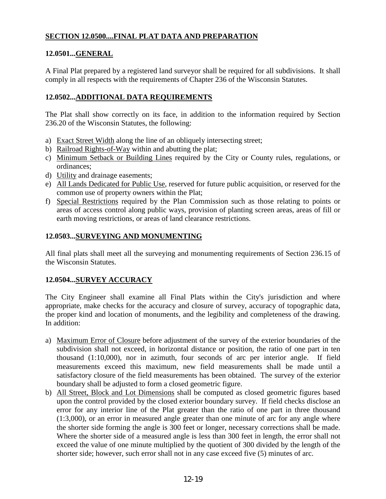# **SECTION 12.0500....FINAL PLAT DATA AND PREPARATION**

# **12.0501...GENERAL**

A Final Plat prepared by a registered land surveyor shall be required for all subdivisions. It shall comply in all respects with the requirements of Chapter 236 of the Wisconsin Statutes.

# **12.0502...ADDITIONAL DATA REQUIREMENTS**

The Plat shall show correctly on its face, in addition to the information required by Section 236.20 of the Wisconsin Statutes, the following:

- a) Exact Street Width along the line of an obliquely intersecting street;
- b) Railroad Rights-of-Way within and abutting the plat;
- c) Minimum Setback or Building Lines required by the City or County rules, regulations, or ordinances;
- d) Utility and drainage easements;
- e) All Lands Dedicated for Public Use, reserved for future public acquisition, or reserved for the common use of property owners within the Plat;
- f) Special Restrictions required by the Plan Commission such as those relating to points or areas of access control along public ways, provision of planting screen areas, areas of fill or earth moving restrictions, or areas of land clearance restrictions.

# **12.0503...SURVEYING AND MONUMENTING**

All final plats shall meet all the surveying and monumenting requirements of Section 236.15 of the Wisconsin Statutes.

# **12.0504...SURVEY ACCURACY**

The City Engineer shall examine all Final Plats within the City's jurisdiction and where appropriate, make checks for the accuracy and closure of survey, accuracy of topographic data, the proper kind and location of monuments, and the legibility and completeness of the drawing. In addition:

- a) Maximum Error of Closure before adjustment of the survey of the exterior boundaries of the subdivision shall not exceed, in horizontal distance or position, the ratio of one part in ten thousand (1:10,000), nor in azimuth, four seconds of arc per interior angle. If field measurements exceed this maximum, new field measurements shall be made until a satisfactory closure of the field measurements has been obtained. The survey of the exterior boundary shall be adjusted to form a closed geometric figure.
- b) All Street, Block and Lot Dimensions shall be computed as closed geometric figures based upon the control provided by the closed exterior boundary survey. If field checks disclose an error for any interior line of the Plat greater than the ratio of one part in three thousand (1:3,000), or an error in measured angle greater than one minute of arc for any angle where the shorter side forming the angle is 300 feet or longer, necessary corrections shall be made. Where the shorter side of a measured angle is less than 300 feet in length, the error shall not exceed the value of one minute multiplied by the quotient of 300 divided by the length of the shorter side; however, such error shall not in any case exceed five (5) minutes of arc.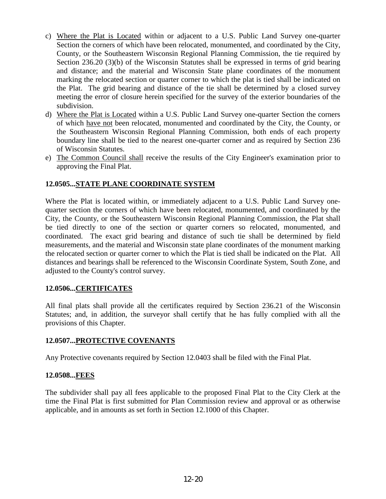- c) Where the Plat is Located within or adjacent to a U.S. Public Land Survey one-quarter Section the corners of which have been relocated, monumented, and coordinated by the City, County, or the Southeastern Wisconsin Regional Planning Commission, the tie required by Section 236.20 (3)(b) of the Wisconsin Statutes shall be expressed in terms of grid bearing and distance; and the material and Wisconsin State plane coordinates of the monument marking the relocated section or quarter corner to which the plat is tied shall be indicated on the Plat. The grid bearing and distance of the tie shall be determined by a closed survey meeting the error of closure herein specified for the survey of the exterior boundaries of the subdivision.
- d) Where the Plat is Located within a U.S. Public Land Survey one-quarter Section the corners of which have not been relocated, monumented and coordinated by the City, the County, or the Southeastern Wisconsin Regional Planning Commission, both ends of each property boundary line shall be tied to the nearest one-quarter corner and as required by Section 236 of Wisconsin Statutes.
- e) The Common Council shall receive the results of the City Engineer's examination prior to approving the Final Plat.

# **12.0505...STATE PLANE COORDINATE SYSTEM**

Where the Plat is located within, or immediately adjacent to a U.S. Public Land Survey onequarter section the corners of which have been relocated, monumented, and coordinated by the City, the County, or the Southeastern Wisconsin Regional Planning Commission, the Plat shall be tied directly to one of the section or quarter corners so relocated, monumented, and coordinated. The exact grid bearing and distance of such tie shall be determined by field measurements, and the material and Wisconsin state plane coordinates of the monument marking the relocated section or quarter corner to which the Plat is tied shall be indicated on the Plat. All distances and bearings shall be referenced to the Wisconsin Coordinate System, South Zone, and adjusted to the County's control survey.

#### **12.0506...CERTIFICATES**

All final plats shall provide all the certificates required by Section 236.21 of the Wisconsin Statutes; and, in addition, the surveyor shall certify that he has fully complied with all the provisions of this Chapter.

#### **12.0507...PROTECTIVE COVENANTS**

Any Protective covenants required by Section 12.0403 shall be filed with the Final Plat.

#### **12.0508...FEES**

The subdivider shall pay all fees applicable to the proposed Final Plat to the City Clerk at the time the Final Plat is first submitted for Plan Commission review and approval or as otherwise applicable, and in amounts as set forth in Section 12.1000 of this Chapter.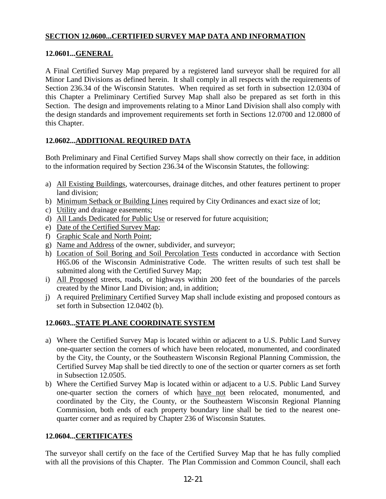# **SECTION 12.0600...CERTIFIED SURVEY MAP DATA AND INFORMATION**

# **12.0601...GENERAL**

A Final Certified Survey Map prepared by a registered land surveyor shall be required for all Minor Land Divisions as defined herein. It shall comply in all respects with the requirements of Section 236.34 of the Wisconsin Statutes. When required as set forth in subsection 12.0304 of this Chapter a Preliminary Certified Survey Map shall also be prepared as set forth in this Section. The design and improvements relating to a Minor Land Division shall also comply with the design standards and improvement requirements set forth in Sections 12.0700 and 12.0800 of this Chapter.

# **12.0602...ADDITIONAL REQUIRED DATA**

Both Preliminary and Final Certified Survey Maps shall show correctly on their face, in addition to the information required by Section 236.34 of the Wisconsin Statutes, the following:

- a) All Existing Buildings, watercourses, drainage ditches, and other features pertinent to proper land division;
- b) Minimum Setback or Building Lines required by City Ordinances and exact size of lot;
- c) Utility and drainage easements;
- d) All Lands Dedicated for Public Use or reserved for future acquisition;
- e) Date of the Certified Survey Map;
- f) Graphic Scale and North Point;
- g) Name and Address of the owner, subdivider, and surveyor;
- h) Location of Soil Boring and Soil Percolation Tests conducted in accordance with Section H65.06 of the Wisconsin Administrative Code. The written results of such test shall be submitted along with the Certified Survey Map;
- i) All Proposed streets, roads, or highways within 200 feet of the boundaries of the parcels created by the Minor Land Division; and, in addition;
- j) A required Preliminary Certified Survey Map shall include existing and proposed contours as set forth in Subsection 12.0402 (b).

# **12.0603...STATE PLANE COORDINATE SYSTEM**

- a) Where the Certified Survey Map is located within or adjacent to a U.S. Public Land Survey one-quarter section the corners of which have been relocated, monumented, and coordinated by the City, the County, or the Southeastern Wisconsin Regional Planning Commission, the Certified Survey Map shall be tied directly to one of the section or quarter corners as set forth in Subsection 12.0505.
- b) Where the Certified Survey Map is located within or adjacent to a U.S. Public Land Survey one-quarter section the corners of which have not been relocated, monumented, and coordinated by the City, the County, or the Southeastern Wisconsin Regional Planning Commission, both ends of each property boundary line shall be tied to the nearest onequarter corner and as required by Chapter 236 of Wisconsin Statutes.

#### **12.0604...CERTIFICATES**

The surveyor shall certify on the face of the Certified Survey Map that he has fully complied with all the provisions of this Chapter. The Plan Commission and Common Council, shall each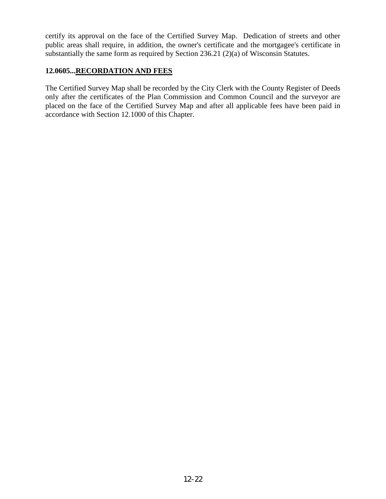certify its approval on the face of the Certified Survey Map. Dedication of streets and other public areas shall require, in addition, the owner's certificate and the mortgagee's certificate in substantially the same form as required by Section 236.21 (2)(a) of Wisconsin Statutes.

# **12.0605...RECORDATION AND FEES**

The Certified Survey Map shall be recorded by the City Clerk with the County Register of Deeds only after the certificates of the Plan Commission and Common Council and the surveyor are placed on the face of the Certified Survey Map and after all applicable fees have been paid in accordance with Section 12.1000 of this Chapter.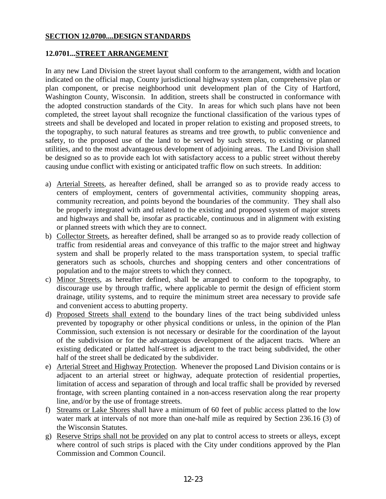#### **SECTION 12.0700....DESIGN STANDARDS**

#### **12.0701...STREET ARRANGEMENT**

In any new Land Division the street layout shall conform to the arrangement, width and location indicated on the official map, County jurisdictional highway system plan, comprehensive plan or plan component, or precise neighborhood unit development plan of the City of Hartford, Washington County, Wisconsin. In addition, streets shall be constructed in conformance with the adopted construction standards of the City. In areas for which such plans have not been completed, the street layout shall recognize the functional classification of the various types of streets and shall be developed and located in proper relation to existing and proposed streets, to the topography, to such natural features as streams and tree growth, to public convenience and safety, to the proposed use of the land to be served by such streets, to existing or planned utilities, and to the most advantageous development of adjoining areas. The Land Division shall be designed so as to provide each lot with satisfactory access to a public street without thereby causing undue conflict with existing or anticipated traffic flow on such streets. In addition:

- a) Arterial Streets, as hereafter defined, shall be arranged so as to provide ready access to centers of employment, centers of governmental activities, community shopping areas, community recreation, and points beyond the boundaries of the community. They shall also be properly integrated with and related to the existing and proposed system of major streets and highways and shall be, insofar as practicable, continuous and in alignment with existing or planned streets with which they are to connect.
- b) Collector Streets, as hereafter defined, shall be arranged so as to provide ready collection of traffic from residential areas and conveyance of this traffic to the major street and highway system and shall be properly related to the mass transportation system, to special traffic generators such as schools, churches and shopping centers and other concentrations of population and to the major streets to which they connect.
- c) Minor Streets, as hereafter defined, shall be arranged to conform to the topography, to discourage use by through traffic, where applicable to permit the design of efficient storm drainage, utility systems, and to require the minimum street area necessary to provide safe and convenient access to abutting property.
- d) Proposed Streets shall extend to the boundary lines of the tract being subdivided unless prevented by topography or other physical conditions or unless, in the opinion of the Plan Commission, such extension is not necessary or desirable for the coordination of the layout of the subdivision or for the advantageous development of the adjacent tracts. Where an existing dedicated or platted half-street is adjacent to the tract being subdivided, the other half of the street shall be dedicated by the subdivider.
- e) Arterial Street and Highway Protection. Whenever the proposed Land Division contains or is adjacent to an arterial street or highway, adequate protection of residential properties, limitation of access and separation of through and local traffic shall be provided by reversed frontage, with screen planting contained in a non-access reservation along the rear property line, and/or by the use of frontage streets.
- f) Streams or Lake Shores shall have a minimum of 60 feet of public access platted to the low water mark at intervals of not more than one-half mile as required by Section 236.16 (3) of the Wisconsin Statutes.
- g) Reserve Strips shall not be provided on any plat to control access to streets or alleys, except where control of such strips is placed with the City under conditions approved by the Plan Commission and Common Council.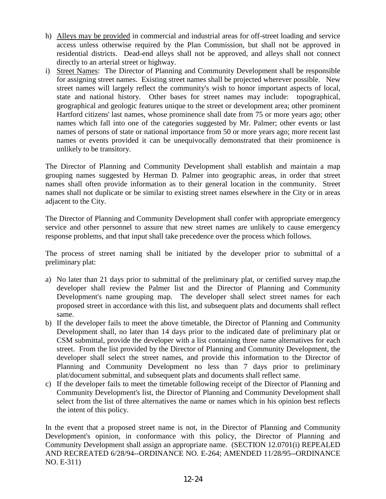- h) Alleys may be provided in commercial and industrial areas for off-street loading and service access unless otherwise required by the Plan Commission, but shall not be approved in residential districts. Dead-end alleys shall not be approved, and alleys shall not connect directly to an arterial street or highway.
- i) Street Names: The Director of Planning and Community Development shall be responsible for assigning street names. Existing street names shall be projected wherever possible. New street names will largely reflect the community's wish to honor important aspects of local, state and national history. Other bases for street names may include: topographical, geographical and geologic features unique to the street or development area; other prominent Hartford citizens' last names, whose prominence shall date from 75 or more years ago; other names which fall into one of the categories suggested by Mr. Palmer; other events or last names of persons of state or national importance from 50 or more years ago; more recent last names or events provided it can be unequivocally demonstrated that their prominence is unlikely to be transitory.

The Director of Planning and Community Development shall establish and maintain a map grouping names suggested by Herman D. Palmer into geographic areas, in order that street names shall often provide information as to their general location in the community. Street names shall not duplicate or be similar to existing street names elsewhere in the City or in areas adjacent to the City.

The Director of Planning and Community Development shall confer with appropriate emergency service and other personnel to assure that new street names are unlikely to cause emergency response problems, and that input shall take precedence over the process which follows.

The process of street naming shall be initiated by the developer prior to submittal of a preliminary plat:

- a) No later than 21 days prior to submittal of the preliminary plat, or certified survey map,the developer shall review the Palmer list and the Director of Planning and Community Development's name grouping map. The developer shall select street names for each proposed street in accordance with this list, and subsequent plats and documents shall reflect same.
- b) If the developer fails to meet the above timetable, the Director of Planning and Community Development shall, no later than 14 days prior to the indicated date of preliminary plat or CSM submittal, provide the developer with a list containing three name alternatives for each street. From the list provided by the Director of Planning and Community Development, the developer shall select the street names, and provide this information to the Director of Planning and Community Development no less than 7 days prior to preliminary plat/document submittal, and subsequent plats and documents shall reflect same.
- c) If the developer fails to meet the timetable following receipt of the Director of Planning and Community Development's list, the Director of Planning and Community Development shall select from the list of three alternatives the name or names which in his opinion best reflects the intent of this policy.

In the event that a proposed street name is not, in the Director of Planning and Community Development's opinion, in conformance with this policy, the Director of Planning and Community Development shall assign an appropriate name. (SECTION 12.0701(i) REPEALED AND RECREATED 6/28/94--ORDINANCE NO. E-264; AMENDED 11/28/95--ORDINANCE NO. E-311)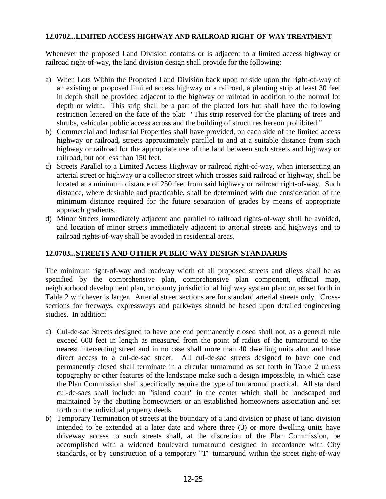# **12.0702...LIMITED ACCESS HIGHWAY AND RAILROAD RIGHT-OF-WAY TREATMENT**

Whenever the proposed Land Division contains or is adjacent to a limited access highway or railroad right-of-way, the land division design shall provide for the following:

- a) When Lots Within the Proposed Land Division back upon or side upon the right-of-way of an existing or proposed limited access highway or a railroad, a planting strip at least 30 feet in depth shall be provided adjacent to the highway or railroad in addition to the normal lot depth or width. This strip shall be a part of the platted lots but shall have the following restriction lettered on the face of the plat: "This strip reserved for the planting of trees and shrubs, vehicular public access across and the building of structures hereon prohibited."
- b) Commercial and Industrial Properties shall have provided, on each side of the limited access highway or railroad, streets approximately parallel to and at a suitable distance from such highway or railroad for the appropriate use of the land between such streets and highway or railroad, but not less than 150 feet.
- c) Streets Parallel to a Limited Access Highway or railroad right-of-way, when intersecting an arterial street or highway or a collector street which crosses said railroad or highway, shall be located at a minimum distance of 250 feet from said highway or railroad right-of-way. Such distance, where desirable and practicable, shall be determined with due consideration of the minimum distance required for the future separation of grades by means of appropriate approach gradients.
- d) Minor Streets immediately adjacent and parallel to railroad rights-of-way shall be avoided, and location of minor streets immediately adjacent to arterial streets and highways and to railroad rights-of-way shall be avoided in residential areas.

# **12.0703...STREETS AND OTHER PUBLIC WAY DESIGN STANDARDS**

The minimum right-of-way and roadway width of all proposed streets and alleys shall be as specified by the comprehensive plan, comprehensive plan component, official map, neighborhood development plan, or county jurisdictional highway system plan; or, as set forth in Table 2 whichever is larger. Arterial street sections are for standard arterial streets only. Crosssections for freeways, expressways and parkways should be based upon detailed engineering studies. In addition:

- a) Cul-de-sac Streets designed to have one end permanently closed shall not, as a general rule exceed 600 feet in length as measured from the point of radius of the turnaround to the nearest intersecting street and in no case shall more than 40 dwelling units abut and have direct access to a cul-de-sac street. All cul-de-sac streets designed to have one end permanently closed shall terminate in a circular turnaround as set forth in Table 2 unless topography or other features of the landscape make such a design impossible, in which case the Plan Commission shall specifically require the type of turnaround practical. All standard cul-de-sacs shall include an "island court" in the center which shall be landscaped and maintained by the abutting homeowners or an established homeowners association and set forth on the individual property deeds.
- b) Temporary Termination of streets at the boundary of a land division or phase of land division intended to be extended at a later date and where three (3) or more dwelling units have driveway access to such streets shall, at the discretion of the Plan Commission, be accomplished with a widened boulevard turnaround designed in accordance with City standards, or by construction of a temporary "T" turnaround within the street right-of-way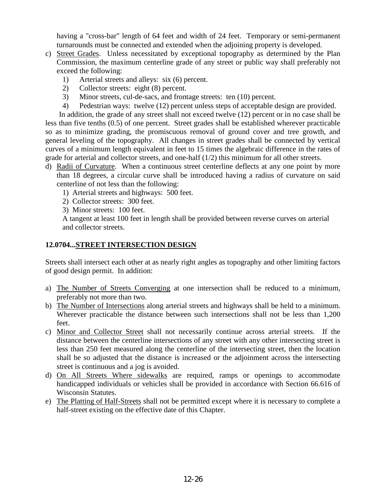having a "cross-bar" length of 64 feet and width of 24 feet. Temporary or semi-permanent turnarounds must be connected and extended when the adjoining property is developed.

- c) Street Grades. Unless necessitated by exceptional topography as determined by the Plan Commission, the maximum centerline grade of any street or public way shall preferably not exceed the following:
	- 1) Arterial streets and alleys: six (6) percent.
	- 2) Collector streets: eight (8) percent.
	- 3) Minor streets, cul-de-sacs, and frontage streets: ten (10) percent.
	- 4) Pedestrian ways: twelve (12) percent unless steps of acceptable design are provided.

In addition, the grade of any street shall not exceed twelve (12) percent or in no case shall be less than five tenths (0.5) of one percent. Street grades shall be established wherever practicable so as to minimize grading, the promiscuous removal of ground cover and tree growth, and general leveling of the topography. All changes in street grades shall be connected by vertical curves of a minimum length equivalent in feet to 15 times the algebraic difference in the rates of grade for arterial and collector streets, and one-half  $(1/2)$  this minimum for all other streets.

- d) Radii of Curvature. When a continuous street centerline deflects at any one point by more than 18 degrees, a circular curve shall be introduced having a radius of curvature on said centerline of not less than the following:
	- 1) Arterial streets and highways: 500 feet.
	- 2) Collector streets: 300 feet.
	- 3) Minor streets: 100 feet.

 A tangent at least 100 feet in length shall be provided between reverse curves on arterial and collector streets.

# **12.0704...STREET INTERSECTION DESIGN**

Streets shall intersect each other at as nearly right angles as topography and other limiting factors of good design permit. In addition:

- a) The Number of Streets Converging at one intersection shall be reduced to a minimum, preferably not more than two.
- b) The Number of Intersections along arterial streets and highways shall be held to a minimum. Wherever practicable the distance between such intersections shall not be less than 1,200 feet.
- c) Minor and Collector Street shall not necessarily continue across arterial streets. If the distance between the centerline intersections of any street with any other intersecting street is less than 250 feet measured along the centerline of the intersecting street, then the location shall be so adjusted that the distance is increased or the adjoinment across the intersecting street is continuous and a jog is avoided.
- d) On All Streets Where sidewalks are required, ramps or openings to accommodate handicapped individuals or vehicles shall be provided in accordance with Section 66.616 of Wisconsin Statutes.
- e) The Platting of Half-Streets shall not be permitted except where it is necessary to complete a half-street existing on the effective date of this Chapter.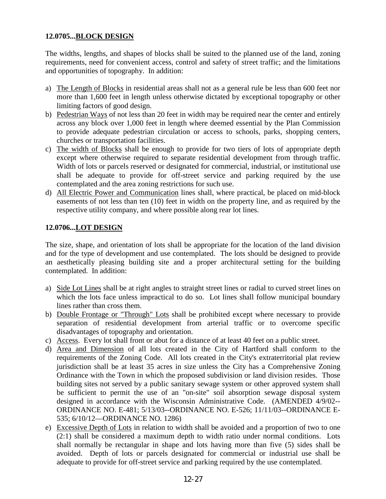# **12.0705...BLOCK DESIGN**

The widths, lengths, and shapes of blocks shall be suited to the planned use of the land, zoning requirements, need for convenient access, control and safety of street traffic; and the limitations and opportunities of topography. In addition:

- a) The Length of Blocks in residential areas shall not as a general rule be less than 600 feet nor more than 1,600 feet in length unless otherwise dictated by exceptional topography or other limiting factors of good design.
- b) Pedestrian Ways of not less than 20 feet in width may be required near the center and entirely across any block over 1,000 feet in length where deemed essential by the Plan Commission to provide adequate pedestrian circulation or access to schools, parks, shopping centers, churches or transportation facilities.
- c) The width of Blocks shall be enough to provide for two tiers of lots of appropriate depth except where otherwise required to separate residential development from through traffic. Width of lots or parcels reserved or designated for commercial, industrial, or institutional use shall be adequate to provide for off-street service and parking required by the use contemplated and the area zoning restrictions for such use.
- d) All Electric Power and Communication lines shall, where practical, be placed on mid-block easements of not less than ten (10) feet in width on the property line, and as required by the respective utility company, and where possible along rear lot lines.

# **12.0706...LOT DESIGN**

The size, shape, and orientation of lots shall be appropriate for the location of the land division and for the type of development and use contemplated. The lots should be designed to provide an aesthetically pleasing building site and a proper architectural setting for the building contemplated. In addition:

- a) Side Lot Lines shall be at right angles to straight street lines or radial to curved street lines on which the lots face unless impractical to do so. Lot lines shall follow municipal boundary lines rather than cross them.
- b) Double Frontage or "Through" Lots shall be prohibited except where necessary to provide separation of residential development from arterial traffic or to overcome specific disadvantages of topography and orientation.
- c) Access. Every lot shall front or abut for a distance of at least 40 feet on a public street.
- d) Area and Dimension of all lots created in the City of Hartford shall conform to the requirements of the Zoning Code. All lots created in the City's extraterritorial plat review jurisdiction shall be at least 35 acres in size unless the City has a Comprehensive Zoning Ordinance with the Town in which the proposed subdivision or land division resides. Those building sites not served by a public sanitary sewage system or other approved system shall be sufficient to permit the use of an "on-site" soil absorption sewage disposal system designed in accordance with the Wisconsin Administrative Code. (AMENDED 4/9/02-- ORDINANCE NO. E-481; 5/13/03--ORDINANCE NO. E-526; 11/11/03--ORDINANCE E-535; 6/10/12—ORDINANCE NO. 1286)
- e) Excessive Depth of Lots in relation to width shall be avoided and a proportion of two to one (2:1) shall be considered a maximum depth to width ratio under normal conditions. Lots shall normally be rectangular in shape and lots having more than five (5) sides shall be avoided. Depth of lots or parcels designated for commercial or industrial use shall be adequate to provide for off-street service and parking required by the use contemplated.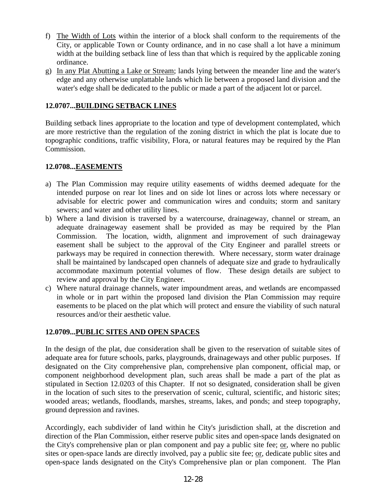- f) The Width of Lots within the interior of a block shall conform to the requirements of the City, or applicable Town or County ordinance, and in no case shall a lot have a minimum width at the building setback line of less than that which is required by the applicable zoning ordinance.
- g) In any Plat Abutting a Lake or Stream; lands lying between the meander line and the water's edge and any otherwise unplattable lands which lie between a proposed land division and the water's edge shall be dedicated to the public or made a part of the adjacent lot or parcel.

# **12.0707...BUILDING SETBACK LINES**

Building setback lines appropriate to the location and type of development contemplated, which are more restrictive than the regulation of the zoning district in which the plat is locate due to topographic conditions, traffic visibility, Flora, or natural features may be required by the Plan Commission.

# **12.0708...EASEMENTS**

- a) The Plan Commission may require utility easements of widths deemed adequate for the intended purpose on rear lot lines and on side lot lines or across lots where necessary or advisable for electric power and communication wires and conduits; storm and sanitary sewers; and water and other utility lines.
- b) Where a land division is traversed by a watercourse, drainageway, channel or stream, an adequate drainageway easement shall be provided as may be required by the Plan Commission. The location, width, alignment and improvement of such drainageway easement shall be subject to the approval of the City Engineer and parallel streets or parkways may be required in connection therewith. Where necessary, storm water drainage shall be maintained by landscaped open channels of adequate size and grade to hydraulically accommodate maximum potential volumes of flow. These design details are subject to review and approval by the City Engineer.
- c) Where natural drainage channels, water impoundment areas, and wetlands are encompassed in whole or in part within the proposed land division the Plan Commission may require easements to be placed on the plat which will protect and ensure the viability of such natural resources and/or their aesthetic value.

# **12.0709...PUBLIC SITES AND OPEN SPACES**

In the design of the plat, due consideration shall be given to the reservation of suitable sites of adequate area for future schools, parks, playgrounds, drainageways and other public purposes. If designated on the City comprehensive plan, comprehensive plan component, official map, or component neighborhood development plan, such areas shall be made a part of the plat as stipulated in Section 12.0203 of this Chapter. If not so designated, consideration shall be given in the location of such sites to the preservation of scenic, cultural, scientific, and historic sites; wooded areas; wetlands, floodlands, marshes, streams, lakes, and ponds; and steep topography, ground depression and ravines.

Accordingly, each subdivider of land within he City's jurisdiction shall, at the discretion and direction of the Plan Commission, either reserve public sites and open-space lands designated on the City's comprehensive plan or plan component and pay a public site fee; or, where no public sites or open-space lands are directly involved, pay a public site fee; or, dedicate public sites and open-space lands designated on the City's Comprehensive plan or plan component. The Plan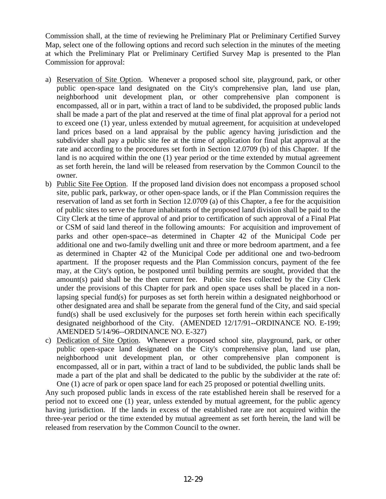Commission shall, at the time of reviewing he Preliminary Plat or Preliminary Certified Survey Map, select one of the following options and record such selection in the minutes of the meeting at which the Preliminary Plat or Preliminary Certified Survey Map is presented to the Plan Commission for approval:

- a) Reservation of Site Option. Whenever a proposed school site, playground, park, or other public open-space land designated on the City's comprehensive plan, land use plan, neighborhood unit development plan, or other comprehensive plan component is encompassed, all or in part, within a tract of land to be subdivided, the proposed public lands shall be made a part of the plat and reserved at the time of final plat approval for a period not to exceed one (1) year, unless extended by mutual agreement, for acquisition at undeveloped land prices based on a land appraisal by the public agency having jurisdiction and the subdivider shall pay a public site fee at the time of application for final plat approval at the rate and according to the procedures set forth in Section 12.0709 (b) of this Chapter. If the land is no acquired within the one (1) year period or the time extended by mutual agreement as set forth herein, the land will be released from reservation by the Common Council to the owner.
- b) Public Site Fee Option. If the proposed land division does not encompass a proposed school site, public park, parkway, or other open-space lands, or if the Plan Commission requires the reservation of land as set forth in Section 12.0709 (a) of this Chapter, a fee for the acquisition of public sites to serve the future inhabitants of the proposed land division shall be paid to the City Clerk at the time of approval of and prior to certification of such approval of a Final Plat or CSM of said land thereof in the following amounts: For acquisition and improvement of parks and other open-space--as determined in Chapter 42 of the Municipal Code per additional one and two-family dwelling unit and three or more bedroom apartment, and a fee as determined in Chapter 42 of the Municipal Code per additional one and two-bedroom apartment. If the proposer requests and the Plan Commission concurs, payment of the fee may, at the City's option, be postponed until building permits are sought, provided that the amount(s) paid shall be the then current fee. Public site fees collected by the City Clerk under the provisions of this Chapter for park and open space uses shall be placed in a nonlapsing special fund(s) for purposes as set forth herein within a designated neighborhood or other designated area and shall be separate from the general fund of the City, and said special fund(s) shall be used exclusively for the purposes set forth herein within each specifically designated neighborhood of the City. (AMENDED 12/17/91--ORDINANCE NO. E-199; AMENDED 5/14/96--ORDINANCE NO. E-327)
- c) Dedication of Site Option. Whenever a proposed school site, playground, park, or other public open-space land designated on the City's comprehensive plan, land use plan, neighborhood unit development plan, or other comprehensive plan component is encompassed, all or in part, within a tract of land to be subdivided, the public lands shall be made a part of the plat and shall be dedicated to the public by the subdivider at the rate of: One (1) acre of park or open space land for each 25 proposed or potential dwelling units.

Any such proposed public lands in excess of the rate established herein shall be reserved for a period not to exceed one (1) year, unless extended by mutual agreement, for the public agency having jurisdiction. If the lands in excess of the established rate are not acquired within the three-year period or the time extended by mutual agreement as set forth herein, the land will be released from reservation by the Common Council to the owner.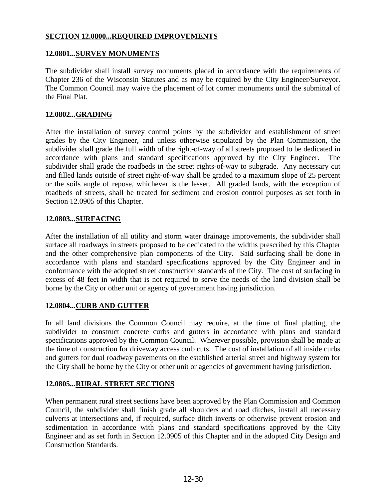#### **SECTION 12.0800...REQUIRED IMPROVEMENTS**

#### **12.0801...SURVEY MONUMENTS**

The subdivider shall install survey monuments placed in accordance with the requirements of Chapter 236 of the Wisconsin Statutes and as may be required by the City Engineer/Surveyor. The Common Council may waive the placement of lot corner monuments until the submittal of the Final Plat.

#### **12.0802...GRADING**

After the installation of survey control points by the subdivider and establishment of street grades by the City Engineer, and unless otherwise stipulated by the Plan Commission, the subdivider shall grade the full width of the right-of-way of all streets proposed to be dedicated in accordance with plans and standard specifications approved by the City Engineer. The subdivider shall grade the roadbeds in the street rights-of-way to subgrade. Any necessary cut and filled lands outside of street right-of-way shall be graded to a maximum slope of 25 percent or the soils angle of repose, whichever is the lesser. All graded lands, with the exception of roadbeds of streets, shall be treated for sediment and erosion control purposes as set forth in Section 12.0905 of this Chapter.

#### **12.0803...SURFACING**

After the installation of all utility and storm water drainage improvements, the subdivider shall surface all roadways in streets proposed to be dedicated to the widths prescribed by this Chapter and the other comprehensive plan components of the City. Said surfacing shall be done in accordance with plans and standard specifications approved by the City Engineer and in conformance with the adopted street construction standards of the City. The cost of surfacing in excess of 48 feet in width that is not required to serve the needs of the land division shall be borne by the City or other unit or agency of government having jurisdiction.

# **12.0804...CURB AND GUTTER**

In all land divisions the Common Council may require, at the time of final platting, the subdivider to construct concrete curbs and gutters in accordance with plans and standard specifications approved by the Common Council. Wherever possible, provision shall be made at the time of construction for driveway access curb cuts. The cost of installation of all inside curbs and gutters for dual roadway pavements on the established arterial street and highway system for the City shall be borne by the City or other unit or agencies of government having jurisdiction.

#### **12.0805...RURAL STREET SECTIONS**

When permanent rural street sections have been approved by the Plan Commission and Common Council, the subdivider shall finish grade all shoulders and road ditches, install all necessary culverts at intersections and, if required, surface ditch inverts or otherwise prevent erosion and sedimentation in accordance with plans and standard specifications approved by the City Engineer and as set forth in Section 12.0905 of this Chapter and in the adopted City Design and Construction Standards.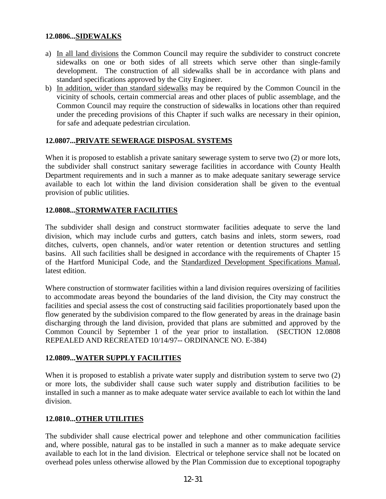# **12.0806...SIDEWALKS**

- a) In all land divisions the Common Council may require the subdivider to construct concrete sidewalks on one or both sides of all streets which serve other than single-family development. The construction of all sidewalks shall be in accordance with plans and standard specifications approved by the City Engineer.
- b) In addition, wider than standard sidewalks may be required by the Common Council in the vicinity of schools, certain commercial areas and other places of public assemblage, and the Common Council may require the construction of sidewalks in locations other than required under the preceding provisions of this Chapter if such walks are necessary in their opinion, for safe and adequate pedestrian circulation.

# **12.0807...PRIVATE SEWERAGE DISPOSAL SYSTEMS**

When it is proposed to establish a private sanitary sewerage system to serve two  $(2)$  or more lots, the subdivider shall construct sanitary sewerage facilities in accordance with County Health Department requirements and in such a manner as to make adequate sanitary sewerage service available to each lot within the land division consideration shall be given to the eventual provision of public utilities.

# **12.0808...STORMWATER FACILITIES**

The subdivider shall design and construct stormwater facilities adequate to serve the land division, which may include curbs and gutters, catch basins and inlets, storm sewers, road ditches, culverts, open channels, and/or water retention or detention structures and settling basins. All such facilities shall be designed in accordance with the requirements of Chapter 15 of the Hartford Municipal Code, and the Standardized Development Specifications Manual, latest edition.

Where construction of stormwater facilities within a land division requires oversizing of facilities to accommodate areas beyond the boundaries of the land division, the City may construct the facilities and special assess the cost of constructing said facilities proportionately based upon the flow generated by the subdivision compared to the flow generated by areas in the drainage basin discharging through the land division, provided that plans are submitted and approved by the Common Council by September 1 of the year prior to installation. (SECTION 12.0808 REPEALED AND RECREATED 10/14/97-- ORDINANCE NO. E-384)

# **12.0809...WATER SUPPLY FACILITIES**

When it is proposed to establish a private water supply and distribution system to serve two  $(2)$ or more lots, the subdivider shall cause such water supply and distribution facilities to be installed in such a manner as to make adequate water service available to each lot within the land division.

# **12.0810...OTHER UTILITIES**

The subdivider shall cause electrical power and telephone and other communication facilities and, where possible, natural gas to be installed in such a manner as to make adequate service available to each lot in the land division. Electrical or telephone service shall not be located on overhead poles unless otherwise allowed by the Plan Commission due to exceptional topography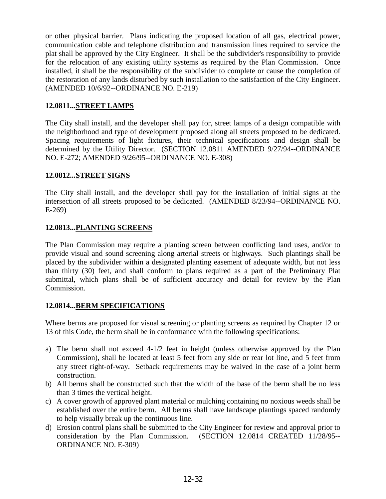or other physical barrier. Plans indicating the proposed location of all gas, electrical power, communication cable and telephone distribution and transmission lines required to service the plat shall be approved by the City Engineer. It shall be the subdivider's responsibility to provide for the relocation of any existing utility systems as required by the Plan Commission. Once installed, it shall be the responsibility of the subdivider to complete or cause the completion of the restoration of any lands disturbed by such installation to the satisfaction of the City Engineer. (AMENDED 10/6/92--ORDINANCE NO. E-219)

# **12.0811...STREET LAMPS**

The City shall install, and the developer shall pay for, street lamps of a design compatible with the neighborhood and type of development proposed along all streets proposed to be dedicated. Spacing requirements of light fixtures, their technical specifications and design shall be determined by the Utility Director. (SECTION 12.0811 AMENDED 9/27/94--ORDINANCE NO. E-272; AMENDED 9/26/95--ORDINANCE NO. E-308)

# **12.0812...STREET SIGNS**

The City shall install, and the developer shall pay for the installation of initial signs at the intersection of all streets proposed to be dedicated. (AMENDED 8/23/94--ORDINANCE NO. E-269)

# **12.0813...PLANTING SCREENS**

The Plan Commission may require a planting screen between conflicting land uses, and/or to provide visual and sound screening along arterial streets or highways. Such plantings shall be placed by the subdivider within a designated planting easement of adequate width, but not less than thirty (30) feet, and shall conform to plans required as a part of the Preliminary Plat submittal, which plans shall be of sufficient accuracy and detail for review by the Plan Commission.

# **12.0814...BERM SPECIFICATIONS**

Where berms are proposed for visual screening or planting screens as required by Chapter 12 or 13 of this Code, the berm shall be in conformance with the following specifications:

- a) The berm shall not exceed 4-1/2 feet in height (unless otherwise approved by the Plan Commission), shall be located at least 5 feet from any side or rear lot line, and 5 feet from any street right-of-way. Setback requirements may be waived in the case of a joint berm construction.
- b) All berms shall be constructed such that the width of the base of the berm shall be no less than 3 times the vertical height.
- c) A cover growth of approved plant material or mulching containing no noxious weeds shall be established over the entire berm. All berms shall have landscape plantings spaced randomly to help visually break up the continuous line.
- d) Erosion control plans shall be submitted to the City Engineer for review and approval prior to consideration by the Plan Commission. (SECTION 12.0814 CREATED 11/28/95-- ORDINANCE NO. E-309)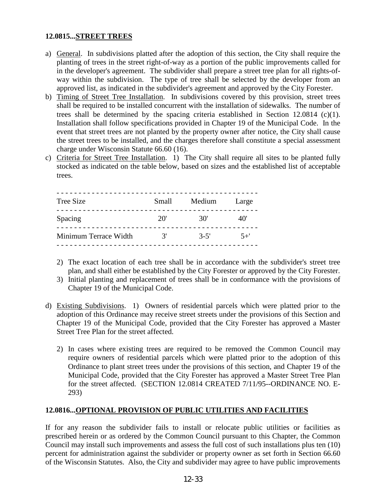# **12.0815...STREET TREES**

- a) General. In subdivisions platted after the adoption of this section, the City shall require the planting of trees in the street right-of-way as a portion of the public improvements called for in the developer's agreement. The subdivider shall prepare a street tree plan for all rights-ofway within the subdivision. The type of tree shall be selected by the developer from an approved list, as indicated in the subdivider's agreement and approved by the City Forester.
- b) Timing of Street Tree Installation. In subdivisions covered by this provision, street trees shall be required to be installed concurrent with the installation of sidewalks. The number of trees shall be determined by the spacing criteria established in Section 12.0814  $(c)(1)$ . Installation shall follow specifications provided in Chapter 19 of the Municipal Code. In the event that street trees are not planted by the property owner after notice, the City shall cause the street trees to be installed, and the charges therefore shall constitute a special assessment charge under Wisconsin Statute 66.60 (16).
- c) Criteria for Street Tree Installation. 1) The City shall require all sites to be planted fully stocked as indicated on the table below, based on sizes and the established list of acceptable trees.

| <b>Tree Size</b>      | Small                  | Medium   | Large   |
|-----------------------|------------------------|----------|---------|
| Spacing               | 20'                    | 30'      | 40'     |
| Minimum Terrace Width | $\mathcal{R}^{\prime}$ | $3 - 5'$ | $5^{+}$ |

- 2) The exact location of each tree shall be in accordance with the subdivider's street tree plan, and shall either be established by the City Forester or approved by the City Forester.
- 3) Initial planting and replacement of trees shall be in conformance with the provisions of Chapter 19 of the Municipal Code.
- d) Existing Subdivisions. 1) Owners of residential parcels which were platted prior to the adoption of this Ordinance may receive street streets under the provisions of this Section and Chapter 19 of the Municipal Code, provided that the City Forester has approved a Master Street Tree Plan for the street affected.
	- 2) In cases where existing trees are required to be removed the Common Council may require owners of residential parcels which were platted prior to the adoption of this Ordinance to plant street trees under the provisions of this section, and Chapter 19 of the Municipal Code, provided that the City Forester has approved a Master Street Tree Plan for the street affected. (SECTION 12.0814 CREATED 7/11/95--ORDINANCE NO. E-293)

# **12.0816...OPTIONAL PROVISION OF PUBLIC UTILITIES AND FACILITIES**

If for any reason the subdivider fails to install or relocate public utilities or facilities as prescribed herein or as ordered by the Common Council pursuant to this Chapter, the Common Council may install such improvements and assess the full cost of such installations plus ten (10) percent for administration against the subdivider or property owner as set forth in Section 66.60 of the Wisconsin Statutes. Also, the City and subdivider may agree to have public improvements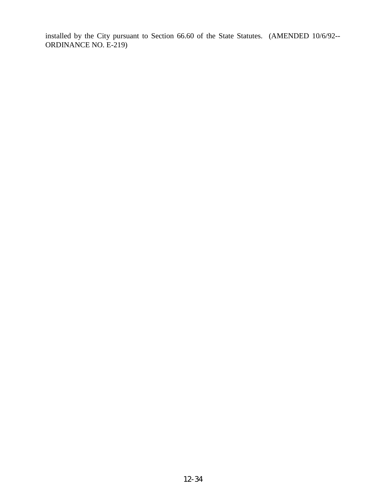installed by the City pursuant to Section 66.60 of the State Statutes. (AMENDED 10/6/92-- ORDINANCE NO. E-219)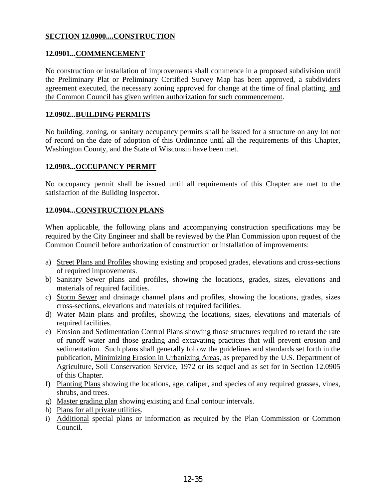# **SECTION 12.0900....CONSTRUCTION**

# **12.0901...COMMENCEMENT**

No construction or installation of improvements shall commence in a proposed subdivision until the Preliminary Plat or Preliminary Certified Survey Map has been approved, a subdividers agreement executed, the necessary zoning approved for change at the time of final platting, and the Common Council has given written authorization for such commencement.

#### **12.0902...BUILDING PERMITS**

No building, zoning, or sanitary occupancy permits shall be issued for a structure on any lot not of record on the date of adoption of this Ordinance until all the requirements of this Chapter, Washington County, and the State of Wisconsin have been met.

#### **12.0903...OCCUPANCY PERMIT**

No occupancy permit shall be issued until all requirements of this Chapter are met to the satisfaction of the Building Inspector.

# **12.0904...CONSTRUCTION PLANS**

When applicable, the following plans and accompanying construction specifications may be required by the City Engineer and shall be reviewed by the Plan Commission upon request of the Common Council before authorization of construction or installation of improvements:

- a) Street Plans and Profiles showing existing and proposed grades, elevations and cross-sections of required improvements.
- b) Sanitary Sewer plans and profiles, showing the locations, grades, sizes, elevations and materials of required facilities.
- c) Storm Sewer and drainage channel plans and profiles, showing the locations, grades, sizes cross-sections, elevations and materials of required facilities.
- d) Water Main plans and profiles, showing the locations, sizes, elevations and materials of required facilities.
- e) Erosion and Sedimentation Control Plans showing those structures required to retard the rate of runoff water and those grading and excavating practices that will prevent erosion and sedimentation. Such plans shall generally follow the guidelines and standards set forth in the publication, Minimizing Erosion in Urbanizing Areas, as prepared by the U.S. Department of Agriculture, Soil Conservation Service, 1972 or its sequel and as set for in Section 12.0905 of this Chapter.
- f) Planting Plans showing the locations, age, caliper, and species of any required grasses, vines, shrubs, and trees.
- g) Master grading plan showing existing and final contour intervals.
- h) Plans for all private utilities.
- i) Additional special plans or information as required by the Plan Commission or Common Council.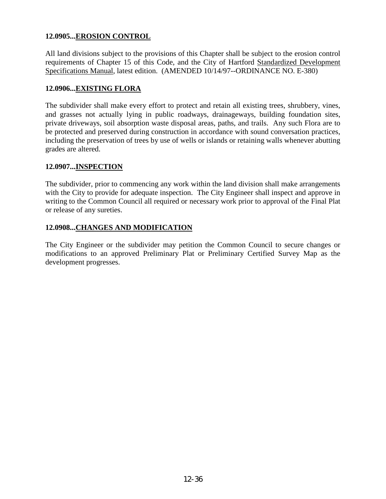# **12.0905...EROSION CONTROL**

All land divisions subject to the provisions of this Chapter shall be subject to the erosion control requirements of Chapter 15 of this Code, and the City of Hartford Standardized Development Specifications Manual, latest edition. (AMENDED 10/14/97--ORDINANCE NO. E-380)

#### **12.0906...EXISTING FLORA**

The subdivider shall make every effort to protect and retain all existing trees, shrubbery, vines, and grasses not actually lying in public roadways, drainageways, building foundation sites, private driveways, soil absorption waste disposal areas, paths, and trails. Any such Flora are to be protected and preserved during construction in accordance with sound conversation practices, including the preservation of trees by use of wells or islands or retaining walls whenever abutting grades are altered.

#### **12.0907...INSPECTION**

The subdivider, prior to commencing any work within the land division shall make arrangements with the City to provide for adequate inspection. The City Engineer shall inspect and approve in writing to the Common Council all required or necessary work prior to approval of the Final Plat or release of any sureties.

#### **12.0908...CHANGES AND MODIFICATION**

The City Engineer or the subdivider may petition the Common Council to secure changes or modifications to an approved Preliminary Plat or Preliminary Certified Survey Map as the development progresses.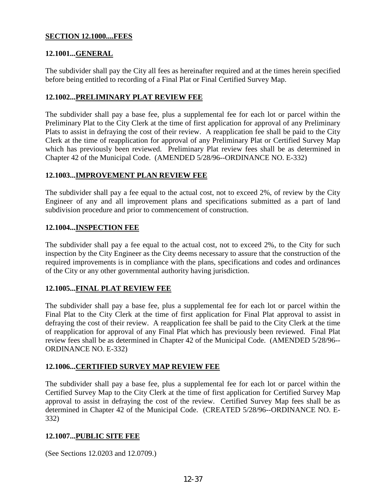# **SECTION 12.1000....FEES**

# **12.1001...GENERAL**

The subdivider shall pay the City all fees as hereinafter required and at the times herein specified before being entitled to recording of a Final Plat or Final Certified Survey Map.

#### **12.1002...PRELIMINARY PLAT REVIEW FEE**

The subdivider shall pay a base fee, plus a supplemental fee for each lot or parcel within the Preliminary Plat to the City Clerk at the time of first application for approval of any Preliminary Plats to assist in defraying the cost of their review. A reapplication fee shall be paid to the City Clerk at the time of reapplication for approval of any Preliminary Plat or Certified Survey Map which has previously been reviewed. Preliminary Plat review fees shall be as determined in Chapter 42 of the Municipal Code. (AMENDED 5/28/96--ORDINANCE NO. E-332)

# **12.1003...IMPROVEMENT PLAN REVIEW FEE**

The subdivider shall pay a fee equal to the actual cost, not to exceed 2%, of review by the City Engineer of any and all improvement plans and specifications submitted as a part of land subdivision procedure and prior to commencement of construction.

#### **12.1004...INSPECTION FEE**

The subdivider shall pay a fee equal to the actual cost, not to exceed 2%, to the City for such inspection by the City Engineer as the City deems necessary to assure that the construction of the required improvements is in compliance with the plans, specifications and codes and ordinances of the City or any other governmental authority having jurisdiction.

# **12.1005...FINAL PLAT REVIEW FEE**

The subdivider shall pay a base fee, plus a supplemental fee for each lot or parcel within the Final Plat to the City Clerk at the time of first application for Final Plat approval to assist in defraying the cost of their review. A reapplication fee shall be paid to the City Clerk at the time of reapplication for approval of any Final Plat which has previously been reviewed. Final Plat review fees shall be as determined in Chapter 42 of the Municipal Code. (AMENDED 5/28/96-- ORDINANCE NO. E-332)

# **12.1006...CERTIFIED SURVEY MAP REVIEW FEE**

The subdivider shall pay a base fee, plus a supplemental fee for each lot or parcel within the Certified Survey Map to the City Clerk at the time of first application for Certified Survey Map approval to assist in defraying the cost of the review. Certified Survey Map fees shall be as determined in Chapter 42 of the Municipal Code. (CREATED 5/28/96--ORDINANCE NO. E-332)

# **12.1007...PUBLIC SITE FEE**

(See Sections 12.0203 and 12.0709.)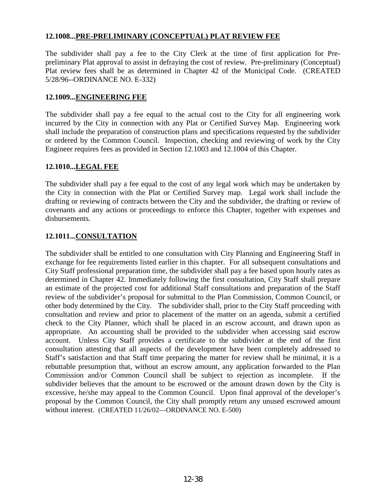# **12.1008...PRE-PRELIMINARY (CONCEPTUAL) PLAT REVIEW FEE**

The subdivider shall pay a fee to the City Clerk at the time of first application for Prepreliminary Plat approval to assist in defraying the cost of review. Pre-preliminary (Conceptual) Plat review fees shall be as determined in Chapter 42 of the Municipal Code. (CREATED 5/28/96--ORDINANCE NO. E-332)

#### **12.1009...ENGINEERING FEE**

The subdivider shall pay a fee equal to the actual cost to the City for all engineering work incurred by the City in connection with any Plat or Certified Survey Map. Engineering work shall include the preparation of construction plans and specifications requested by the subdivider or ordered by the Common Council. Inspection, checking and reviewing of work by the City Engineer requires fees as provided in Section 12.1003 and 12.1004 of this Chapter.

#### **12.1010...LEGAL FEE**

The subdivider shall pay a fee equal to the cost of any legal work which may be undertaken by the City in connection with the Plat or Certified Survey map. Legal work shall include the drafting or reviewing of contracts between the City and the subdivider, the drafting or review of covenants and any actions or proceedings to enforce this Chapter, together with expenses and disbursements.

# **12.1011...CONSULTATION**

The subdivider shall be entitled to one consultation with City Planning and Engineering Staff in exchange for fee requirements listed earlier in this chapter. For all subsequent consultations and City Staff professional preparation time, the subdivider shall pay a fee based upon hourly rates as determined in Chapter 42. Immediately following the first consultation, City Staff shall prepare an estimate of the projected cost for additional Staff consultations and preparation of the Staff review of the subdivider's proposal for submittal to the Plan Commission, Common Council, or other body determined by the City. The subdivider shall, prior to the City Staff proceeding with consultation and review and prior to placement of the matter on an agenda, submit a certified check to the City Planner, which shall be placed in an escrow account, and drawn upon as appropriate. An accounting shall be provided to the subdivider when accessing said escrow account. Unless City Staff provides a certificate to the subdivider at the end of the first consultation attesting that all aspects of the development have been completely addressed to Staff's satisfaction and that Staff time preparing the matter for review shall be minimal, it is a rebuttable presumption that, without an escrow amount, any application forwarded to the Plan Commission and/or Common Council shall be subject to rejection as incomplete. If the subdivider believes that the amount to be escrowed or the amount drawn down by the City is excessive, he/she may appeal to the Common Council. Upon final approval of the developer's proposal by the Common Council, the City shall promptly return any unused escrowed amount without interest. (CREATED 11/26/02—ORDINANCE NO. E-500)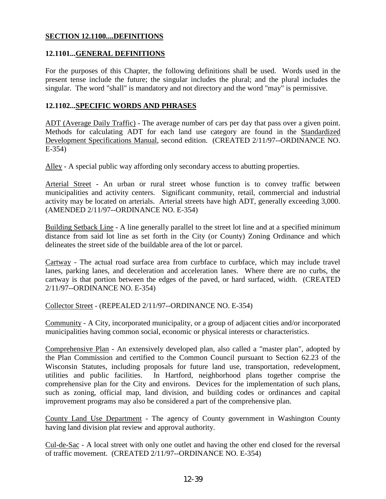#### **SECTION 12.1100....DEFINITIONS**

#### **12.1101...GENERAL DEFINITIONS**

For the purposes of this Chapter, the following definitions shall be used. Words used in the present tense include the future; the singular includes the plural; and the plural includes the singular. The word "shall" is mandatory and not directory and the word "may" is permissive.

#### **12.1102...SPECIFIC WORDS AND PHRASES**

ADT (Average Daily Traffic) - The average number of cars per day that pass over a given point. Methods for calculating ADT for each land use category are found in the Standardized Development Specifications Manual, second edition. (CREATED 2/11/97--ORDINANCE NO. E-354)

Alley - A special public way affording only secondary access to abutting properties.

Arterial Street - An urban or rural street whose function is to convey traffic between municipalities and activity centers. Significant community, retail, commercial and industrial activity may be located on arterials. Arterial streets have high ADT, generally exceeding 3,000. (AMENDED 2/11/97--ORDINANCE NO. E-354)

Building Setback Line - A line generally parallel to the street lot line and at a specified minimum distance from said lot line as set forth in the City (or County) Zoning Ordinance and which delineates the street side of the buildable area of the lot or parcel.

Cartway - The actual road surface area from curbface to curbface, which may include travel lanes, parking lanes, and deceleration and acceleration lanes. Where there are no curbs, the cartway is that portion between the edges of the paved, or hard surfaced, width. (CREATED 2/11/97--ORDINANCE NO. E-354)

Collector Street - (REPEALED 2/11/97--ORDINANCE NO. E-354)

Community - A City, incorporated municipality, or a group of adjacent cities and/or incorporated municipalities having common social, economic or physical interests or characteristics.

Comprehensive Plan - An extensively developed plan, also called a "master plan", adopted by the Plan Commission and certified to the Common Council pursuant to Section 62.23 of the Wisconsin Statutes, including proposals for future land use, transportation, redevelopment, utilities and public facilities. In Hartford, neighborhood plans together comprise the comprehensive plan for the City and environs. Devices for the implementation of such plans, such as zoning, official map, land division, and building codes or ordinances and capital improvement programs may also be considered a part of the comprehensive plan.

County Land Use Department - The agency of County government in Washington County having land division plat review and approval authority.

Cul-de-Sac - A local street with only one outlet and having the other end closed for the reversal of traffic movement. (CREATED 2/11/97--ORDINANCE NO. E-354)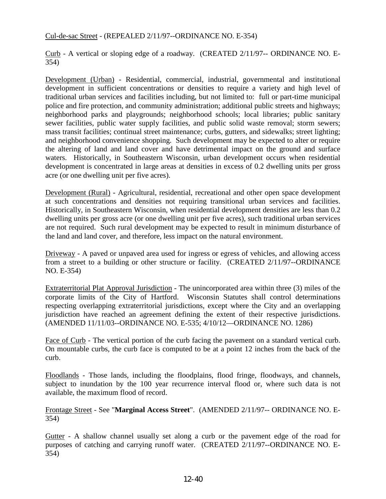#### Cul-de-sac Street - (REPEALED 2/11/97--ORDINANCE NO. E-354)

Curb - A vertical or sloping edge of a roadway. (CREATED 2/11/97-- ORDINANCE NO. E-354)

Development (Urban) - Residential, commercial, industrial, governmental and institutional development in sufficient concentrations or densities to require a variety and high level of traditional urban services and facilities including, but not limited to: full or part-time municipal police and fire protection, and community administration; additional public streets and highways; neighborhood parks and playgrounds; neighborhood schools; local libraries; public sanitary sewer facilities, public water supply facilities, and public solid waste removal; storm sewers; mass transit facilities; continual street maintenance; curbs, gutters, and sidewalks; street lighting; and neighborhood convenience shopping. Such development may be expected to alter or require the altering of land and land cover and have detrimental impact on the ground and surface waters. Historically, in Southeastern Wisconsin, urban development occurs when residential development is concentrated in large areas at densities in excess of 0.2 dwelling units per gross acre (or one dwelling unit per five acres).

Development (Rural) - Agricultural, residential, recreational and other open space development at such concentrations and densities not requiring transitional urban services and facilities. Historically, in Southeastern Wisconsin, when residential development densities are less than 0.2 dwelling units per gross acre (or one dwelling unit per five acres), such traditional urban services are not required. Such rural development may be expected to result in minimum disturbance of the land and land cover, and therefore, less impact on the natural environment.

Driveway - A paved or unpaved area used for ingress or egress of vehicles, and allowing access from a street to a building or other structure or facility. (CREATED 2/11/97--ORDINANCE NO. E-354)

Extraterritorial Plat Approval Jurisdiction - The unincorporated area within three (3) miles of the corporate limits of the City of Hartford. Wisconsin Statutes shall control determinations respecting overlapping extraterritorial jurisdictions, except where the City and an overlapping jurisdiction have reached an agreement defining the extent of their respective jurisdictions. (AMENDED 11/11/03--ORDINANCE NO. E-535; 4/10/12—ORDINANCE NO. 1286)

Face of Curb - The vertical portion of the curb facing the pavement on a standard vertical curb. On mountable curbs, the curb face is computed to be at a point 12 inches from the back of the curb.

Floodlands - Those lands, including the floodplains, flood fringe, floodways, and channels, subject to inundation by the 100 year recurrence interval flood or, where such data is not available, the maximum flood of record.

Frontage Street - See "**Marginal Access Street**". (AMENDED 2/11/97-- ORDINANCE NO. E-354)

Gutter - A shallow channel usually set along a curb or the pavement edge of the road for purposes of catching and carrying runoff water. (CREATED 2/11/97--ORDINANCE NO. E-354)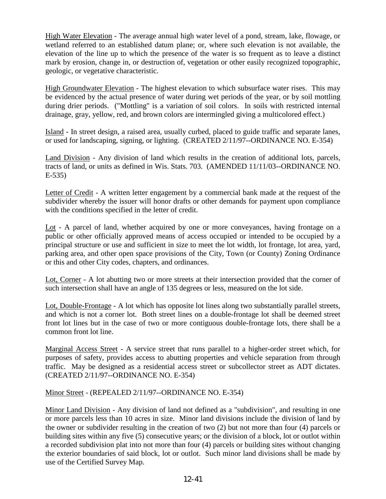High Water Elevation - The average annual high water level of a pond, stream, lake, flowage, or wetland referred to an established datum plane; or, where such elevation is not available, the elevation of the line up to which the presence of the water is so frequent as to leave a distinct mark by erosion, change in, or destruction of, vegetation or other easily recognized topographic, geologic, or vegetative characteristic.

High Groundwater Elevation - The highest elevation to which subsurface water rises. This may be evidenced by the actual presence of water during wet periods of the year, or by soil mottling during drier periods. ("Mottling" is a variation of soil colors. In soils with restricted internal drainage, gray, yellow, red, and brown colors are intermingled giving a multicolored effect.)

Island - In street design, a raised area, usually curbed, placed to guide traffic and separate lanes, or used for landscaping, signing, or lighting. (CREATED 2/11/97--ORDINANCE NO. E-354)

Land Division - Any division of land which results in the creation of additional lots, parcels, tracts of land, or units as defined in Wis. Stats. 703. (AMENDED 11/11/03--ORDINANCE NO. E-535)

Letter of Credit - A written letter engagement by a commercial bank made at the request of the subdivider whereby the issuer will honor drafts or other demands for payment upon compliance with the conditions specified in the letter of credit.

Lot - A parcel of land, whether acquired by one or more conveyances, having frontage on a public or other officially approved means of access occupied or intended to be occupied by a principal structure or use and sufficient in size to meet the lot width, lot frontage, lot area, yard, parking area, and other open space provisions of the City, Town (or County) Zoning Ordinance or this and other City codes, chapters, and ordinances.

Lot, Corner - A lot abutting two or more streets at their intersection provided that the corner of such intersection shall have an angle of 135 degrees or less, measured on the lot side.

Lot, Double-Frontage - A lot which has opposite lot lines along two substantially parallel streets, and which is not a corner lot. Both street lines on a double-frontage lot shall be deemed street front lot lines but in the case of two or more contiguous double-frontage lots, there shall be a common front lot line.

Marginal Access Street - A service street that runs parallel to a higher-order street which, for purposes of safety, provides access to abutting properties and vehicle separation from through traffic. May be designed as a residential access street or subcollector street as ADT dictates. (CREATED 2/11/97--ORDINANCE NO. E-354)

Minor Street - (REPEALED 2/11/97--ORDINANCE NO. E-354)

Minor Land Division - Any division of land not defined as a "subdivision", and resulting in one or more parcels less than 10 acres in size. Minor land divisions include the division of land by the owner or subdivider resulting in the creation of two (2) but not more than four (4) parcels or building sites within any five (5) consecutive years; or the division of a block, lot or outlot within a recorded subdivision plat into not more than four (4) parcels or building sites without changing the exterior boundaries of said block, lot or outlot. Such minor land divisions shall be made by use of the Certified Survey Map.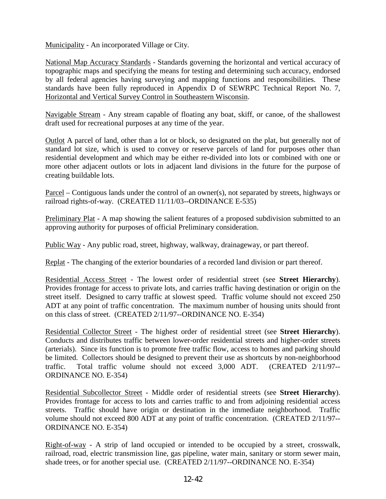Municipality - An incorporated Village or City.

National Map Accuracy Standards - Standards governing the horizontal and vertical accuracy of topographic maps and specifying the means for testing and determining such accuracy, endorsed by all federal agencies having surveying and mapping functions and responsibilities. These standards have been fully reproduced in Appendix D of SEWRPC Technical Report No. 7, Horizontal and Vertical Survey Control in Southeastern Wisconsin.

Navigable Stream - Any stream capable of floating any boat, skiff, or canoe, of the shallowest draft used for recreational purposes at any time of the year.

Outlot A parcel of land, other than a lot or block, so designated on the plat, but generally not of standard lot size, which is used to convey or reserve parcels of land for purposes other than residential development and which may be either re-divided into lots or combined with one or more other adjacent outlots or lots in adjacent land divisions in the future for the purpose of creating buildable lots.

Parcel – Contiguous lands under the control of an owner(s), not separated by streets, highways or railroad rights-of-way. (CREATED 11/11/03--ORDINANCE E-535)

Preliminary Plat - A map showing the salient features of a proposed subdivision submitted to an approving authority for purposes of official Preliminary consideration.

Public Way - Any public road, street, highway, walkway, drainageway, or part thereof.

Replat - The changing of the exterior boundaries of a recorded land division or part thereof.

Residential Access Street - The lowest order of residential street (see **Street Hierarchy**). Provides frontage for access to private lots, and carries traffic having destination or origin on the street itself. Designed to carry traffic at slowest speed. Traffic volume should not exceed 250 ADT at any point of traffic concentration. The maximum number of housing units should front on this class of street. (CREATED 2/11/97--ORDINANCE NO. E-354)

Residential Collector Street - The highest order of residential street (see **Street Hierarchy**). Conducts and distributes traffic between lower-order residential streets and higher-order streets (arterials). Since its function is to promote free traffic flow, access to homes and parking should be limited. Collectors should be designed to prevent their use as shortcuts by non-neighborhood traffic. Total traffic volume should not exceed 3,000 ADT. (CREATED 2/11/97-- ORDINANCE NO. E-354)

Residential Subcollector Street - Middle order of residential streets (see **Street Hierarchy**). Provides frontage for access to lots and carries traffic to and from adjoining residential access streets. Traffic should have origin or destination in the immediate neighborhood. Traffic volume should not exceed 800 ADT at any point of traffic concentration. (CREATED 2/11/97-- ORDINANCE NO. E-354)

Right-of-way - A strip of land occupied or intended to be occupied by a street, crosswalk, railroad, road, electric transmission line, gas pipeline, water main, sanitary or storm sewer main, shade trees, or for another special use. (CREATED 2/11/97--ORDINANCE NO. E-354)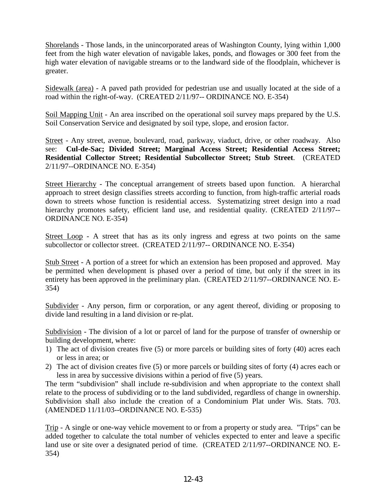Shorelands - Those lands, in the unincorporated areas of Washington County, lying within 1,000 feet from the high water elevation of navigable lakes, ponds, and flowages or 300 feet from the high water elevation of navigable streams or to the landward side of the floodplain, whichever is greater.

Sidewalk (area) - A paved path provided for pedestrian use and usually located at the side of a road within the right-of-way. (CREATED 2/11/97-- ORDINANCE NO. E-354)

Soil Mapping Unit - An area inscribed on the operational soil survey maps prepared by the U.S. Soil Conservation Service and designated by soil type, slope, and erosion factor.

Street - Any street, avenue, boulevard, road, parkway, viaduct, drive, or other roadway. Also see: **Cul-de-Sac; Divided Street; Marginal Access Street; Residential Access Street; Residential Collector Street; Residential Subcollector Street; Stub Street**. (CREATED 2/11/97--ORDINANCE NO. E-354)

Street Hierarchy - The conceptual arrangement of streets based upon function. A hierarchal approach to street design classifies streets according to function, from high-traffic arterial roads down to streets whose function is residential access. Systematizing street design into a road hierarchy promotes safety, efficient land use, and residential quality. (CREATED 2/11/97--ORDINANCE NO. E-354)

Street Loop - A street that has as its only ingress and egress at two points on the same subcollector or collector street. (CREATED 2/11/97-- ORDINANCE NO. E-354)

Stub Street - A portion of a street for which an extension has been proposed and approved. May be permitted when development is phased over a period of time, but only if the street in its entirety has been approved in the preliminary plan. (CREATED 2/11/97--ORDINANCE NO. E-354)

Subdivider - Any person, firm or corporation, or any agent thereof, dividing or proposing to divide land resulting in a land division or re-plat.

Subdivision - The division of a lot or parcel of land for the purpose of transfer of ownership or building development, where:

- 1) The act of division creates five (5) or more parcels or building sites of forty (40) acres each or less in area; or
- 2) The act of division creates five (5) or more parcels or building sites of forty (4) acres each or less in area by successive divisions within a period of five (5) years.

The term "subdivision" shall include re-subdivision and when appropriate to the context shall relate to the process of subdividing or to the land subdivided, regardless of change in ownership. Subdivision shall also include the creation of a Condominium Plat under Wis. Stats. 703. (AMENDED 11/11/03--ORDINANCE NO. E-535)

Trip - A single or one-way vehicle movement to or from a property or study area. "Trips" can be added together to calculate the total number of vehicles expected to enter and leave a specific land use or site over a designated period of time. (CREATED 2/11/97--ORDINANCE NO. E-354)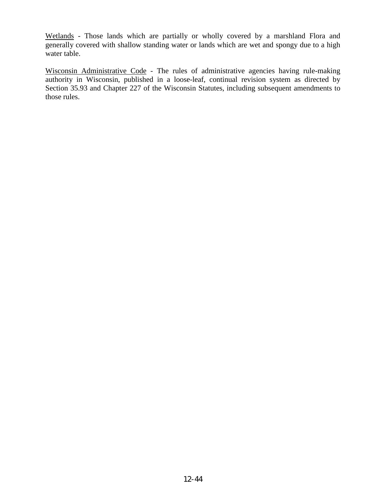Wetlands - Those lands which are partially or wholly covered by a marshland Flora and generally covered with shallow standing water or lands which are wet and spongy due to a high water table.

Wisconsin Administrative Code - The rules of administrative agencies having rule-making authority in Wisconsin, published in a loose-leaf, continual revision system as directed by Section 35.93 and Chapter 227 of the Wisconsin Statutes, including subsequent amendments to those rules.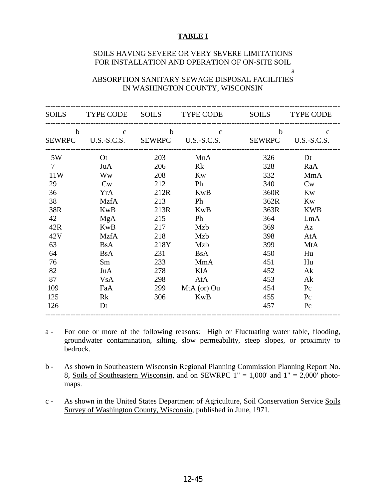#### **TABLE I**

#### SOILS HAVING SEVERE OR VERY SEVERE LIMITATIONS FOR INSTALLATION AND OPERATION OF ON-SITE SOIL a

ABSORPTION SANITARY SEWAGE DISPOSAL FACILITIES IN WASHINGTON COUNTY, WISCONSIN

| <b>SOILS</b>    |                           |             | TYPE CODE SOILS TYPE CODE             | <b>SOILS</b> | <b>TYPE CODE</b>   |
|-----------------|---------------------------|-------------|---------------------------------------|--------------|--------------------|
| $\mathbf b$     | $\mathbf{c}$              | $\mathbf b$ | $\mathbf{c}$                          | $\mathbf b$  | $\mathbf{c}$       |
|                 |                           |             | SEWRPC U.S.-S.C.S. SEWRPC U.S.-S.C.S. |              | SEWRPC U.S.-S.C.S. |
| 5W              | $\overline{\mathrm{O}}$ t | 203         | MnA                                   | 326          | Dt                 |
| $7\phantom{.0}$ | JuA                       | 206         | Rk                                    | 328          | RaA                |
| 11W             | <b>Ww</b>                 | 208         | Kw                                    | 332          | MmA                |
| 29              | Cw                        | 212         | Ph                                    | 340          | Cw                 |
| 36              | YrA                       | 212R        | <b>KwB</b>                            | 360R         | <b>Kw</b>          |
| 38              | <b>MzfA</b>               | 213         | Ph                                    | 362R         | Kw                 |
| 38R             | <b>KwB</b>                | 213R        | <b>KwB</b>                            | 363R         | <b>KWB</b>         |
| 42              | <b>MgA</b>                | 215         | Ph                                    | 364          | LmA                |
| 42R             | <b>KwB</b>                | 217         | Mzb                                   | 369          | Az                 |
| 42V             | <b>MzfA</b>               | 218         | Mzb                                   | 398          | AtA                |
| 63              | <b>BsA</b>                | 218Y        | Mzb                                   | 399          | MtA                |
| 64              | <b>B</b> sA               | 231         | <b>B</b> sA                           | 450          | Hu                 |
| 76              | Sm                        | 233         | MmA                                   | 451          | Hu                 |
| 82              | JuA                       | 278         | KlA                                   | 452          | Ak                 |
| 87              | <b>VsA</b>                | 298         | AtA                                   | 453          | Ak                 |
| 109             | FaA                       | 299         | MtA (or) Ou                           | 454          | $P_{C}$            |
| 125             | Rk                        | 306         | <b>KwB</b>                            | 455          | Pc                 |
| 126             | Dt                        |             |                                       | 457          | $P_{\rm C}$        |

a - For one or more of the following reasons: High or Fluctuating water table, flooding, groundwater contamination, silting, slow permeability, steep slopes, or proximity to bedrock.

b - As shown in Southeastern Wisconsin Regional Planning Commission Planning Report No. 8, Soils of Southeastern Wisconsin, and on SEWRPC  $1'' = 1,000'$  and  $1'' = 2,000'$  photomaps.

c - As shown in the United States Department of Agriculture, Soil Conservation Service Soils Survey of Washington County, Wisconsin, published in June, 1971.